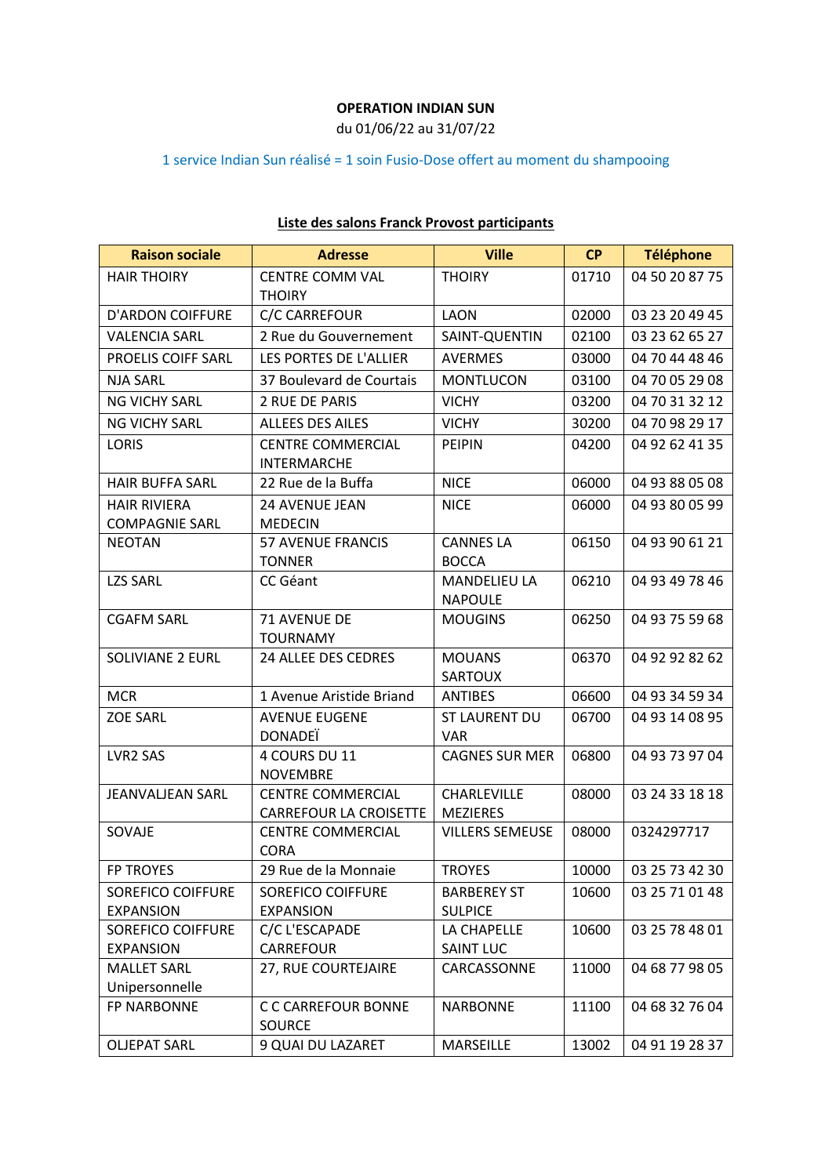## **OPERATION INDIAN SUN**

du 01/06/22 au 31/07/22

## 1 service Indian Sun réalisé = 1 soin Fusio-Dose offert au moment du shampooing

| <b>Raison sociale</b>    | <b>Adresse</b>                      | <b>Ville</b>           | <b>CP</b> | <b>Téléphone</b>     |
|--------------------------|-------------------------------------|------------------------|-----------|----------------------|
| <b>HAIR THOIRY</b>       | <b>CENTRE COMM VAL</b>              | <b>THOIRY</b>          | 01710     | 04 50 20 87 75       |
|                          | <b>THOIRY</b>                       |                        |           |                      |
| <b>D'ARDON COIFFURE</b>  | C/C CARREFOUR                       | <b>LAON</b>            | 02000     | 03 23 20 49 45       |
| <b>VALENCIA SARL</b>     | 2 Rue du Gouvernement               | SAINT-QUENTIN          | 02100     | 03 23 62 65 27       |
| PROELIS COIFF SARL       | LES PORTES DE L'ALLIER              | <b>AVERMES</b>         | 03000     | 04 70 44 48 46       |
| <b>NJA SARL</b>          | 37 Boulevard de Courtais            | <b>MONTLUCON</b>       | 03100     | 04 70 05 29 08       |
| <b>NG VICHY SARL</b>     | 2 RUE DE PARIS                      | <b>VICHY</b>           | 03200     | 04 70 31 32 12       |
| <b>NG VICHY SARL</b>     | <b>ALLEES DES AILES</b>             | <b>VICHY</b>           | 30200     | 04 70 98 29 17       |
| <b>LORIS</b>             | <b>CENTRE COMMERCIAL</b>            | <b>PEIPIN</b>          | 04200     | 04 92 62 41 35       |
|                          | <b>INTERMARCHE</b>                  |                        |           |                      |
| <b>HAIR BUFFA SARL</b>   | 22 Rue de la Buffa                  | <b>NICE</b>            | 06000     | 04 93 88 05 08       |
| <b>HAIR RIVIERA</b>      | 24 AVENUE JEAN                      | <b>NICE</b>            | 06000     | 04 93 80 05 99       |
| <b>COMPAGNIE SARL</b>    | <b>MEDECIN</b>                      |                        |           |                      |
| <b>NEOTAN</b>            | <b>57 AVENUE FRANCIS</b>            | <b>CANNES LA</b>       | 06150     | 04 93 90 61 21       |
|                          | <b>TONNER</b>                       | <b>BOCCA</b>           |           |                      |
| <b>LZS SARL</b>          | CC Géant                            | <b>MANDELIEU LA</b>    | 06210     | 04 93 49 78 46       |
|                          | <b>71 AVENUE DE</b>                 | <b>NAPOULE</b>         | 06250     |                      |
| <b>CGAFM SARL</b>        | <b>TOURNAMY</b>                     | <b>MOUGINS</b>         |           | 04 93 75 59 68       |
| <b>SOLIVIANE 2 EURL</b>  | 24 ALLEE DES CEDRES                 | <b>MOUANS</b>          | 06370     | 04 92 92 82 62       |
|                          |                                     | <b>SARTOUX</b>         |           |                      |
| <b>MCR</b>               | 1 Avenue Aristide Briand            | <b>ANTIBES</b>         | 06600     | 04 93 34 59 34       |
| <b>ZOE SARL</b>          | <b>AVENUE EUGENE</b>                | <b>ST LAURENT DU</b>   | 06700     | 04 93 14 08 95       |
|                          | <b>DONADEI</b>                      | <b>VAR</b>             |           |                      |
| LVR2 SAS                 | 4 COURS DU 11                       | <b>CAGNES SUR MER</b>  | 06800     | 04 93 73 97 04       |
|                          | <b>NOVEMBRE</b>                     |                        |           |                      |
| <b>JEANVALJEAN SARL</b>  | <b>CENTRE COMMERCIAL</b>            | CHARLEVILLE            | 08000     | 03 24 33 18 18       |
|                          | <b>CARREFOUR LA CROISETTE</b>       | <b>MEZIERES</b>        |           |                      |
| SOVAJE                   | <b>CENTRE COMMERCIAL</b>            | <b>VILLERS SEMEUSE</b> | 08000     | 0324297717           |
| <b>FP TROYES</b>         | <b>CORA</b><br>29 Rue de la Monnaie | TROYES                 |           | 10000 03 25 73 42 30 |
| <b>SOREFICO COIFFURE</b> | <b>SOREFICO COIFFURE</b>            | <b>BARBEREY ST</b>     |           | 03 25 71 01 48       |
| <b>EXPANSION</b>         | <b>EXPANSION</b>                    | <b>SULPICE</b>         | 10600     |                      |
| <b>SOREFICO COIFFURE</b> | C/C L'ESCAPADE                      | LA CHAPELLE            | 10600     | 03 25 78 48 01       |
| <b>EXPANSION</b>         | CARREFOUR                           | <b>SAINT LUC</b>       |           |                      |
| <b>MALLET SARL</b>       | 27, RUE COURTEJAIRE                 | CARCASSONNE            | 11000     | 04 68 77 98 05       |
| Unipersonnelle           |                                     |                        |           |                      |
| <b>FP NARBONNE</b>       | C C CARREFOUR BONNE                 | <b>NARBONNE</b>        | 11100     | 04 68 32 76 04       |
|                          | <b>SOURCE</b>                       |                        |           |                      |
| <b>OLJEPAT SARL</b>      | 9 QUAI DU LAZARET                   | <b>MARSEILLE</b>       | 13002     | 04 91 19 28 37       |

## **Liste des salons Franck Provost participants**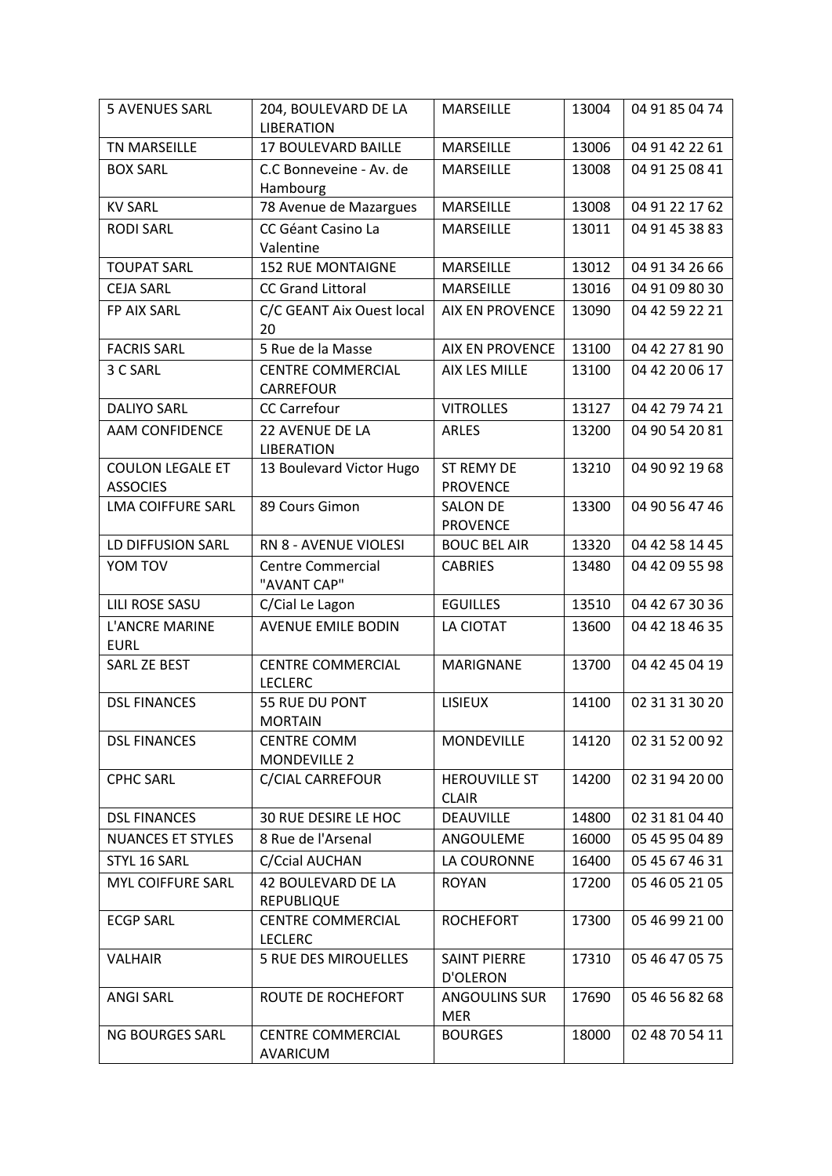| <b>5 AVENUES SARL</b>                      | 204, BOULEVARD DE LA<br><b>LIBERATION</b>  | <b>MARSEILLE</b>                       | 13004 | 04 91 85 04 74 |
|--------------------------------------------|--------------------------------------------|----------------------------------------|-------|----------------|
| <b>TN MARSEILLE</b>                        | 17 BOULEVARD BAILLE                        | <b>MARSEILLE</b>                       | 13006 | 04 91 42 22 61 |
| <b>BOX SARL</b>                            | C.C Bonneveine - Av. de                    | MARSEILLE                              | 13008 | 04 91 25 08 41 |
|                                            | Hambourg                                   |                                        |       |                |
| <b>KV SARL</b>                             | 78 Avenue de Mazargues                     | <b>MARSEILLE</b>                       | 13008 | 04 91 22 17 62 |
| <b>RODI SARL</b>                           | CC Géant Casino La                         | <b>MARSEILLE</b>                       | 13011 | 04 91 45 38 83 |
|                                            | Valentine                                  |                                        |       |                |
| <b>TOUPAT SARL</b>                         | <b>152 RUE MONTAIGNE</b>                   | <b>MARSEILLE</b>                       | 13012 | 04 91 34 26 66 |
| <b>CEJA SARL</b>                           | <b>CC Grand Littoral</b>                   | MARSEILLE                              | 13016 | 04 91 09 80 30 |
| FP AIX SARL                                | C/C GEANT Aix Ouest local<br>20            | <b>AIX EN PROVENCE</b>                 | 13090 | 04 42 59 22 21 |
| <b>FACRIS SARL</b>                         | 5 Rue de la Masse                          | <b>AIX EN PROVENCE</b>                 | 13100 | 04 42 27 81 90 |
| 3 C SARL                                   | <b>CENTRE COMMERCIAL</b>                   | AIX LES MILLE                          | 13100 | 04 42 20 06 17 |
|                                            | <b>CARREFOUR</b>                           |                                        |       |                |
| <b>DALIYO SARL</b>                         | <b>CC Carrefour</b>                        | <b>VITROLLES</b>                       | 13127 | 04 42 79 74 21 |
| <b>AAM CONFIDENCE</b>                      | 22 AVENUE DE LA<br><b>LIBERATION</b>       | <b>ARLES</b>                           | 13200 | 04 90 54 20 81 |
| <b>COULON LEGALE ET</b><br><b>ASSOCIES</b> | 13 Boulevard Victor Hugo                   | <b>ST REMY DE</b><br><b>PROVENCE</b>   | 13210 | 04 90 92 19 68 |
| <b>LMA COIFFURE SARL</b>                   | 89 Cours Gimon                             | <b>SALON DE</b>                        | 13300 | 04 90 56 47 46 |
|                                            |                                            | <b>PROVENCE</b>                        |       |                |
| LD DIFFUSION SARL                          | RN 8 - AVENUE VIOLESI                      | <b>BOUC BEL AIR</b>                    | 13320 | 04 42 58 14 45 |
| YOM TOV                                    | <b>Centre Commercial</b><br>"AVANT CAP"    | <b>CABRIES</b>                         | 13480 | 04 42 09 55 98 |
| <b>LILI ROSE SASU</b>                      | C/Cial Le Lagon                            | <b>EGUILLES</b>                        | 13510 | 04 42 67 30 36 |
| L'ANCRE MARINE<br><b>EURL</b>              | <b>AVENUE EMILE BODIN</b>                  | LA CIOTAT                              | 13600 | 04 42 18 46 35 |
| SARL ZE BEST                               | <b>CENTRE COMMERCIAL</b><br><b>LECLERC</b> | MARIGNANE                              | 13700 | 04 42 45 04 19 |
| <b>DSL FINANCES</b>                        | 55 RUE DU PONT<br><b>MORTAIN</b>           | <b>LISIEUX</b>                         | 14100 | 02 31 31 30 20 |
| <b>DSL FINANCES</b>                        | <b>CENTRE COMM</b><br>MONDEVILLE 2         | <b>MONDEVILLE</b>                      | 14120 | 02 31 52 00 92 |
| <b>CPHC SARL</b>                           | C/CIAL CARREFOUR                           | <b>HEROUVILLE ST</b><br><b>CLAIR</b>   | 14200 | 02 31 94 20 00 |
| <b>DSL FINANCES</b>                        | 30 RUE DESIRE LE HOC                       | <b>DEAUVILLE</b>                       | 14800 | 02 31 81 04 40 |
| <b>NUANCES ET STYLES</b>                   | 8 Rue de l'Arsenal                         | ANGOULEME                              | 16000 | 05 45 95 04 89 |
| STYL 16 SARL                               | C/Ccial AUCHAN                             | LA COURONNE                            | 16400 | 05 45 67 46 31 |
| <b>MYL COIFFURE SARL</b>                   | 42 BOULEVARD DE LA<br><b>REPUBLIQUE</b>    | <b>ROYAN</b>                           | 17200 | 05 46 05 21 05 |
| <b>ECGP SARL</b>                           | <b>CENTRE COMMERCIAL</b><br><b>LECLERC</b> | <b>ROCHEFORT</b>                       | 17300 | 05 46 99 21 00 |
| <b>VALHAIR</b>                             | <b>5 RUE DES MIROUELLES</b>                | <b>SAINT PIERRE</b><br><b>D'OLERON</b> | 17310 | 05 46 47 05 75 |
| <b>ANGI SARL</b>                           | ROUTE DE ROCHEFORT                         | <b>ANGOULINS SUR</b><br><b>MER</b>     | 17690 | 05 46 56 82 68 |
| NG BOURGES SARL                            | CENTRE COMMERCIAL<br>AVARICUM              | <b>BOURGES</b>                         | 18000 | 02 48 70 54 11 |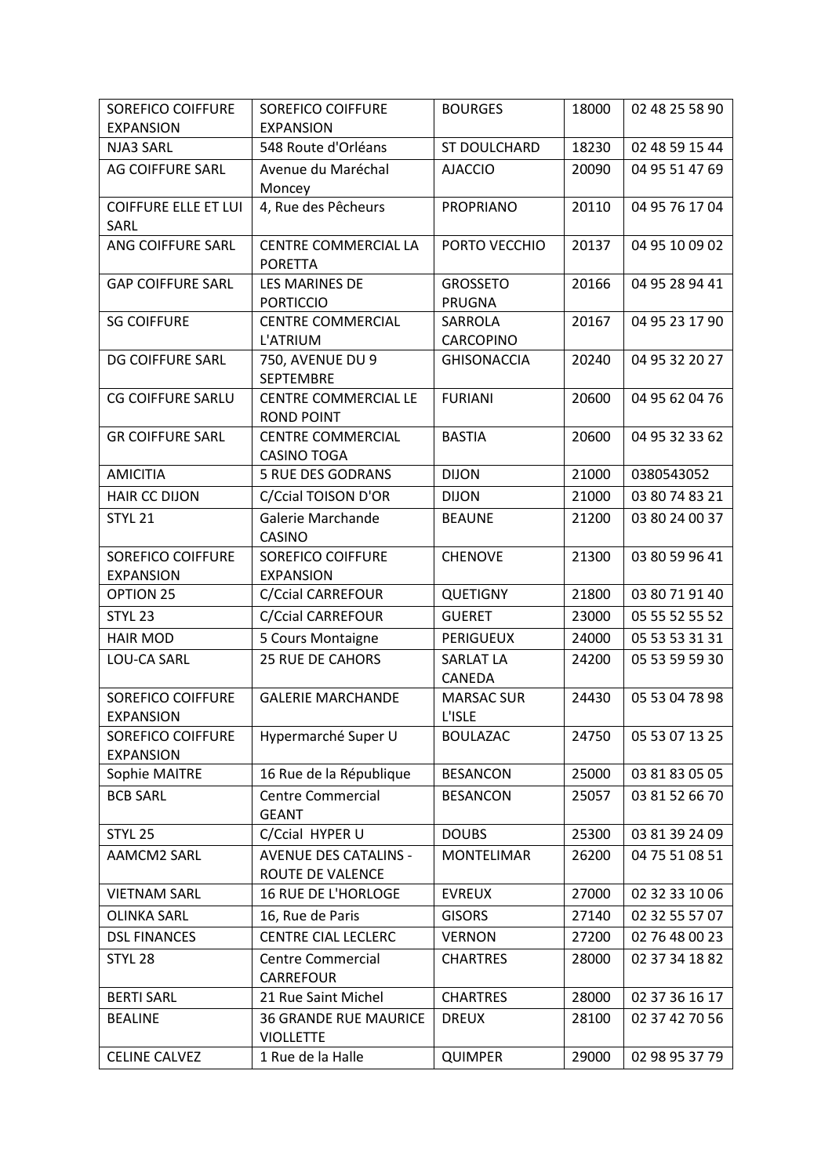| <b>SOREFICO COIFFURE</b>                     | <b>SOREFICO COIFFURE</b>             | <b>BOURGES</b>              | 18000 | 02 48 25 58 90 |
|----------------------------------------------|--------------------------------------|-----------------------------|-------|----------------|
| <b>EXPANSION</b>                             | <b>EXPANSION</b>                     |                             |       |                |
| NJA3 SARL                                    | 548 Route d'Orléans                  | ST DOULCHARD                | 18230 | 02 48 59 15 44 |
| <b>AG COIFFURE SARL</b>                      | Avenue du Maréchal                   | <b>AJACCIO</b>              | 20090 | 04 95 51 47 69 |
|                                              | Moncey                               |                             |       |                |
| <b>COIFFURE ELLE ET LUI</b><br>SARL          | 4, Rue des Pêcheurs                  | <b>PROPRIANO</b>            | 20110 | 04 95 76 17 04 |
| ANG COIFFURE SARL                            | CENTRE COMMERCIAL LA                 | PORTO VECCHIO               | 20137 | 04 95 10 09 02 |
|                                              | <b>PORETTA</b>                       |                             |       |                |
| <b>GAP COIFFURE SARL</b>                     | <b>LES MARINES DE</b>                | <b>GROSSETO</b>             | 20166 | 04 95 28 94 41 |
|                                              | <b>PORTICCIO</b>                     | <b>PRUGNA</b>               |       |                |
| <b>SG COIFFURE</b>                           | <b>CENTRE COMMERCIAL</b>             | SARROLA                     | 20167 | 04 95 23 17 90 |
|                                              | L'ATRIUM                             | CARCOPINO                   |       |                |
| DG COIFFURE SARL                             | 750, AVENUE DU 9<br><b>SEPTEMBRE</b> | <b>GHISONACCIA</b>          | 20240 | 04 95 32 20 27 |
| <b>CG COIFFURE SARLU</b>                     | <b>CENTRE COMMERCIAL LE</b>          | <b>FURIANI</b>              | 20600 | 04 95 62 04 76 |
|                                              | <b>ROND POINT</b>                    |                             |       |                |
| <b>GR COIFFURE SARL</b>                      | <b>CENTRE COMMERCIAL</b>             | <b>BASTIA</b>               | 20600 | 04 95 32 33 62 |
|                                              | CASINO TOGA                          |                             |       |                |
| <b>AMICITIA</b>                              | <b>5 RUE DES GODRANS</b>             | <b>DIJON</b>                | 21000 | 0380543052     |
| <b>HAIR CC DIJON</b>                         | C/Ccial TOISON D'OR                  | <b>DIJON</b>                | 21000 | 03 80 74 83 21 |
| STYL <sub>21</sub>                           | Galerie Marchande                    | <b>BEAUNE</b>               | 21200 | 03 80 24 00 37 |
|                                              | CASINO                               |                             |       |                |
| <b>SOREFICO COIFFURE</b>                     | <b>SOREFICO COIFFURE</b>             | <b>CHENOVE</b>              | 21300 | 03 80 59 96 41 |
| <b>EXPANSION</b>                             | <b>EXPANSION</b>                     |                             |       |                |
| OPTION 25                                    | <b>C/Ccial CARREFOUR</b>             | <b>QUETIGNY</b>             | 21800 | 03 80 71 91 40 |
| STYL <sub>23</sub>                           | <b>C/Ccial CARREFOUR</b>             | <b>GUERET</b>               | 23000 | 05 55 52 55 52 |
| <b>HAIR MOD</b>                              | 5 Cours Montaigne                    | <b>PERIGUEUX</b>            | 24000 | 05 53 53 31 31 |
| <b>LOU-CA SARL</b>                           | 25 RUE DE CAHORS                     | <b>SARLAT LA</b>            | 24200 | 05 53 59 59 30 |
|                                              |                                      | CANEDA<br><b>MARSAC SUR</b> |       | 05 53 04 78 98 |
| <b>SOREFICO COIFFURE</b><br><b>EXPANSION</b> | <b>GALERIE MARCHANDE</b>             | L'ISLE                      | 24430 |                |
| <b>SOREFICO COIFFURE</b>                     | Hypermarché Super U                  | <b>BOULAZAC</b>             | 24750 | 05 53 07 13 25 |
| <b>EXPANSION</b>                             |                                      |                             |       |                |
| Sophie MAITRE                                | 16 Rue de la République              | <b>BESANCON</b>             | 25000 | 03 81 83 05 05 |
| <b>BCB SARL</b>                              | <b>Centre Commercial</b>             | <b>BESANCON</b>             | 25057 | 03 81 52 66 70 |
|                                              | <b>GEANT</b>                         |                             |       |                |
| STYL <sub>25</sub>                           | C/Ccial HYPER U                      | <b>DOUBS</b>                | 25300 | 03 81 39 24 09 |
| <b>AAMCM2 SARL</b>                           | <b>AVENUE DES CATALINS -</b>         | <b>MONTELIMAR</b>           | 26200 | 04 75 51 08 51 |
|                                              | ROUTE DE VALENCE                     |                             |       |                |
| <b>VIETNAM SARL</b>                          | 16 RUE DE L'HORLOGE                  | <b>EVREUX</b>               | 27000 | 02 32 33 10 06 |
| <b>OLINKA SARL</b>                           | 16, Rue de Paris                     | <b>GISORS</b>               | 27140 | 02 32 55 57 07 |
| <b>DSL FINANCES</b>                          | <b>CENTRE CIAL LECLERC</b>           | <b>VERNON</b>               | 27200 | 02 76 48 00 23 |
| STYL <sub>28</sub>                           | <b>Centre Commercial</b>             | <b>CHARTRES</b>             | 28000 | 02 37 34 18 82 |
|                                              | CARREFOUR                            |                             |       |                |
| <b>BERTI SARL</b>                            | 21 Rue Saint Michel                  | <b>CHARTRES</b>             | 28000 | 02 37 36 16 17 |
| <b>BEALINE</b>                               | <b>36 GRANDE RUE MAURICE</b>         | <b>DREUX</b>                | 28100 | 02 37 42 70 56 |
|                                              | <b>VIOLLETTE</b>                     |                             |       |                |
| <b>CELINE CALVEZ</b>                         | 1 Rue de la Halle                    | <b>QUIMPER</b>              | 29000 | 02 98 95 37 79 |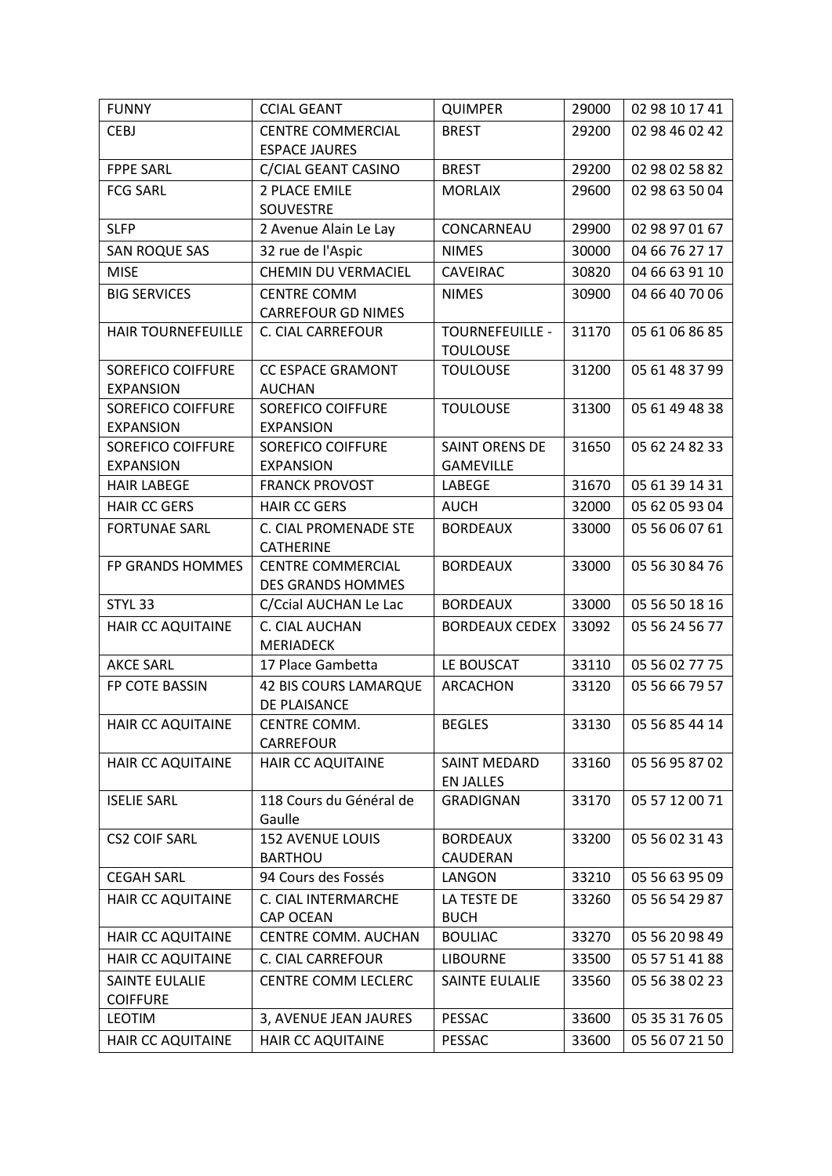| <b>FUNNY</b>                           | <b>CCIAL GEANT</b>                                   | <b>QUIMPER</b>                          | 29000 | 02 98 10 17 41 |
|----------------------------------------|------------------------------------------------------|-----------------------------------------|-------|----------------|
| <b>CEBJ</b>                            | <b>CENTRE COMMERCIAL</b>                             | <b>BREST</b>                            | 29200 | 02 98 46 02 42 |
|                                        | <b>ESPACE JAURES</b>                                 |                                         |       |                |
| <b>FPPE SARL</b>                       | C/CIAL GEANT CASINO                                  | <b>BREST</b>                            | 29200 | 02 98 02 58 82 |
| <b>FCG SARL</b>                        | 2 PLACE EMILE                                        | <b>MORLAIX</b>                          | 29600 | 02 98 63 50 04 |
|                                        | SOUVESTRE                                            |                                         |       |                |
| <b>SLFP</b>                            | 2 Avenue Alain Le Lay                                | CONCARNEAU                              | 29900 | 02 98 97 01 67 |
| <b>SAN ROQUE SAS</b>                   | 32 rue de l'Aspic                                    | <b>NIMES</b>                            | 30000 | 04 66 76 27 17 |
| <b>MISE</b>                            | CHEMIN DU VERMACIEL                                  | CAVEIRAC                                | 30820 | 04 66 63 91 10 |
| <b>BIG SERVICES</b>                    | <b>CENTRE COMM</b>                                   | <b>NIMES</b>                            | 30900 | 04 66 40 70 06 |
|                                        | <b>CARREFOUR GD NIMES</b>                            |                                         |       |                |
| <b>HAIR TOURNEFEUILLE</b>              | <b>C. CIAL CARREFOUR</b>                             | <b>TOURNEFEUILLE -</b>                  | 31170 | 05 61 06 86 85 |
|                                        |                                                      | <b>TOULOUSE</b>                         |       |                |
| <b>SOREFICO COIFFURE</b>               | <b>CC ESPACE GRAMONT</b>                             | <b>TOULOUSE</b>                         | 31200 | 05 61 48 37 99 |
| <b>EXPANSION</b>                       | <b>AUCHAN</b>                                        |                                         |       |                |
| <b>SOREFICO COIFFURE</b>               | SOREFICO COIFFURE                                    | <b>TOULOUSE</b>                         | 31300 | 05 61 49 48 38 |
| <b>EXPANSION</b>                       | <b>EXPANSION</b>                                     |                                         |       |                |
| <b>SOREFICO COIFFURE</b>               | <b>SOREFICO COIFFURE</b>                             | <b>SAINT ORENS DE</b>                   | 31650 | 05 62 24 82 33 |
| <b>EXPANSION</b><br><b>HAIR LABEGE</b> | <b>EXPANSION</b>                                     | <b>GAMEVILLE</b>                        | 31670 |                |
|                                        | <b>FRANCK PROVOST</b>                                | LABEGE                                  |       | 05 61 39 14 31 |
| <b>HAIR CC GERS</b>                    | <b>HAIR CC GERS</b>                                  | <b>AUCH</b>                             | 32000 | 05 62 05 93 04 |
| <b>FORTUNAE SARL</b>                   | C. CIAL PROMENADE STE                                | <b>BORDEAUX</b>                         | 33000 | 05 56 06 07 61 |
|                                        | <b>CATHERINE</b>                                     |                                         |       |                |
| FP GRANDS HOMMES                       | <b>CENTRE COMMERCIAL</b><br><b>DES GRANDS HOMMES</b> | <b>BORDEAUX</b>                         | 33000 | 05 56 30 84 76 |
| STYL <sub>33</sub>                     | C/Ccial AUCHAN Le Lac                                | <b>BORDEAUX</b>                         | 33000 | 05 56 50 18 16 |
| <b>HAIR CC AQUITAINE</b>               | C. CIAL AUCHAN                                       | <b>BORDEAUX CEDEX</b>                   | 33092 | 05 56 24 56 77 |
|                                        | <b>MERIADECK</b>                                     |                                         |       |                |
| <b>AKCE SARL</b>                       | 17 Place Gambetta                                    | LE BOUSCAT                              | 33110 | 05 56 02 77 75 |
| FP COTE BASSIN                         | <b>42 BIS COURS LAMARQUE</b>                         | ARCACHON                                | 33120 | 05 56 66 79 57 |
|                                        | DE PLAISANCE                                         |                                         |       |                |
| HAIR CC AQUITAINE                      | CENTRE COMM.                                         | <b>BEGLES</b>                           | 33130 | 05 56 85 44 14 |
|                                        | CARREFOUR                                            |                                         |       |                |
| <b>HAIR CC AQUITAINE</b>               | <b>HAIR CC AQUITAINE</b>                             | <b>SAINT MEDARD</b><br><b>EN JALLES</b> | 33160 | 05 56 95 87 02 |
| <b>ISELIE SARL</b>                     | 118 Cours du Général de                              | <b>GRADIGNAN</b>                        | 33170 | 05 57 12 00 71 |
|                                        | Gaulle                                               |                                         |       |                |
| <b>CS2 COIF SARL</b>                   | <b>152 AVENUE LOUIS</b>                              | <b>BORDEAUX</b>                         | 33200 | 05 56 02 31 43 |
|                                        | <b>BARTHOU</b>                                       | CAUDERAN                                |       |                |
| <b>CEGAH SARL</b>                      | 94 Cours des Fossés                                  | LANGON                                  | 33210 | 05 56 63 95 09 |
| HAIR CC AQUITAINE                      | C. CIAL INTERMARCHE                                  | LA TESTE DE                             | 33260 | 05 56 54 29 87 |
|                                        | CAP OCEAN                                            | <b>BUCH</b>                             |       |                |
| HAIR CC AQUITAINE                      | CENTRE COMM. AUCHAN                                  | <b>BOULIAC</b>                          | 33270 | 05 56 20 98 49 |
| HAIR CC AQUITAINE                      | C. CIAL CARREFOUR                                    | <b>LIBOURNE</b>                         | 33500 | 05 57 51 41 88 |
| <b>SAINTE EULALIE</b>                  | CENTRE COMM LECLERC                                  | <b>SAINTE EULALIE</b>                   | 33560 | 05 56 38 02 23 |
| <b>COIFFURE</b>                        |                                                      |                                         |       |                |
| <b>LEOTIM</b>                          | 3, AVENUE JEAN JAURES                                | PESSAC                                  | 33600 | 05 35 31 76 05 |
| <b>HAIR CC AQUITAINE</b>               | <b>HAIR CC AQUITAINE</b>                             | PESSAC                                  | 33600 | 05 56 07 21 50 |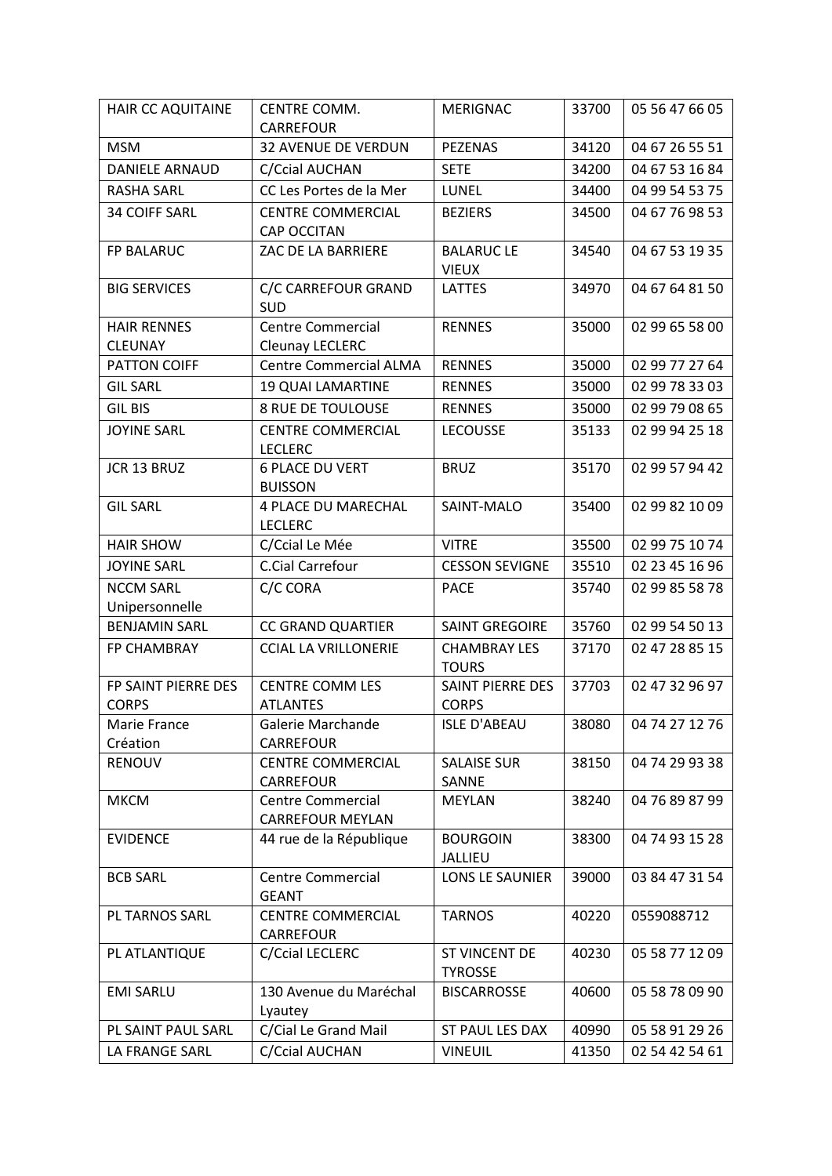| HAIR CC AQUITAINE     | CENTRE COMM.                                 | <b>MERIGNAC</b>                         | 33700 | 05 56 47 66 05 |
|-----------------------|----------------------------------------------|-----------------------------------------|-------|----------------|
| <b>MSM</b>            | <b>CARREFOUR</b><br>32 AVENUE DE VERDUN      | <b>PEZENAS</b>                          | 34120 | 04 67 26 55 51 |
| <b>DANIELE ARNAUD</b> | C/Ccial AUCHAN                               | <b>SETE</b>                             | 34200 | 04 67 53 16 84 |
| <b>RASHA SARL</b>     | CC Les Portes de la Mer                      | LUNEL                                   | 34400 | 04 99 54 53 75 |
|                       |                                              | <b>BEZIERS</b>                          |       |                |
| <b>34 COIFF SARL</b>  | <b>CENTRE COMMERCIAL</b><br>CAP OCCITAN      |                                         | 34500 | 04 67 76 98 53 |
| FP BALARUC            | ZAC DE LA BARRIERE                           | <b>BALARUC LE</b>                       | 34540 | 04 67 53 19 35 |
|                       |                                              | <b>VIEUX</b>                            |       |                |
| <b>BIG SERVICES</b>   | C/C CARREFOUR GRAND                          | <b>LATTES</b>                           | 34970 | 04 67 64 81 50 |
|                       | SUD                                          |                                         |       |                |
| <b>HAIR RENNES</b>    | <b>Centre Commercial</b>                     | <b>RENNES</b>                           | 35000 | 02 99 65 58 00 |
| <b>CLEUNAY</b>        | Cleunay LECLERC                              |                                         |       |                |
| <b>PATTON COIFF</b>   | <b>Centre Commercial ALMA</b>                | <b>RENNES</b>                           | 35000 | 02 99 77 27 64 |
| <b>GIL SARL</b>       | <b>19 QUAI LAMARTINE</b>                     | <b>RENNES</b>                           | 35000 | 02 99 78 33 03 |
| <b>GIL BIS</b>        | <b>8 RUE DE TOULOUSE</b>                     | <b>RENNES</b>                           | 35000 | 02 99 79 08 65 |
| <b>JOYINE SARL</b>    | <b>CENTRE COMMERCIAL</b>                     | <b>LECOUSSE</b>                         | 35133 | 02 99 94 25 18 |
|                       | <b>LECLERC</b>                               |                                         |       |                |
| JCR 13 BRUZ           | <b>6 PLACE DU VERT</b><br><b>BUISSON</b>     | <b>BRUZ</b>                             | 35170 | 02 99 57 94 42 |
| <b>GIL SARL</b>       | <b>4 PLACE DU MARECHAL</b>                   | SAINT-MALO                              | 35400 | 02 99 82 10 09 |
|                       | <b>LECLERC</b>                               |                                         |       |                |
| <b>HAIR SHOW</b>      | C/Ccial Le Mée                               | <b>VITRE</b>                            | 35500 | 02 99 75 10 74 |
| <b>JOYINE SARL</b>    | C.Cial Carrefour                             | <b>CESSON SEVIGNE</b>                   | 35510 | 02 23 45 16 96 |
| <b>NCCM SARL</b>      | C/C CORA                                     | <b>PACE</b>                             | 35740 | 02 99 85 58 78 |
| Unipersonnelle        |                                              |                                         |       |                |
| <b>BENJAMIN SARL</b>  | <b>CC GRAND QUARTIER</b>                     | <b>SAINT GREGOIRE</b>                   | 35760 | 02 99 54 50 13 |
| FP CHAMBRAY           | <b>CCIAL LA VRILLONERIE</b>                  | <b>CHAMBRAY LES</b>                     | 37170 | 02 47 28 85 15 |
| FP SAINT PIERRE DES   | <b>CENTRE COMM LES</b>                       | <b>TOURS</b><br><b>SAINT PIERRE DES</b> | 37703 | 02 47 32 96 97 |
| <b>CORPS</b>          | <b>ATLANTES</b>                              | <b>CORPS</b>                            |       |                |
| Marie France          | Galerie Marchande                            | <b>ISLE D'ABEAU</b>                     | 38080 | 04 74 27 12 76 |
| Création              | <b>CARREFOUR</b>                             |                                         |       |                |
| <b>RENOUV</b>         | <b>CENTRE COMMERCIAL</b>                     | <b>SALAISE SUR</b>                      | 38150 | 04 74 29 93 38 |
|                       | <b>CARREFOUR</b>                             | SANNE                                   |       |                |
| <b>MKCM</b>           | <b>Centre Commercial</b>                     | <b>MEYLAN</b>                           | 38240 | 04 76 89 87 99 |
|                       | <b>CARREFOUR MEYLAN</b>                      |                                         |       |                |
| <b>EVIDENCE</b>       | 44 rue de la République                      | <b>BOURGOIN</b><br><b>JALLIEU</b>       | 38300 | 04 74 93 15 28 |
| <b>BCB SARL</b>       | <b>Centre Commercial</b>                     | LONS LE SAUNIER                         | 39000 | 03 84 47 31 54 |
|                       | <b>GEANT</b>                                 |                                         |       |                |
| PL TARNOS SARL        | <b>CENTRE COMMERCIAL</b><br><b>CARREFOUR</b> | <b>TARNOS</b>                           | 40220 | 0559088712     |
| PL ATLANTIQUE         | C/Ccial LECLERC                              | <b>ST VINCENT DE</b>                    | 40230 | 05 58 77 12 09 |
|                       |                                              | <b>TYROSSE</b>                          |       |                |
| <b>EMI SARLU</b>      | 130 Avenue du Maréchal                       | <b>BISCARROSSE</b>                      | 40600 | 05 58 78 09 90 |
|                       | Lyautey                                      |                                         |       |                |
| PL SAINT PAUL SARL    | C/Cial Le Grand Mail                         | ST PAUL LES DAX                         | 40990 | 05 58 91 29 26 |
| LA FRANGE SARL        | C/Ccial AUCHAN                               | <b>VINEUIL</b>                          | 41350 | 02 54 42 54 61 |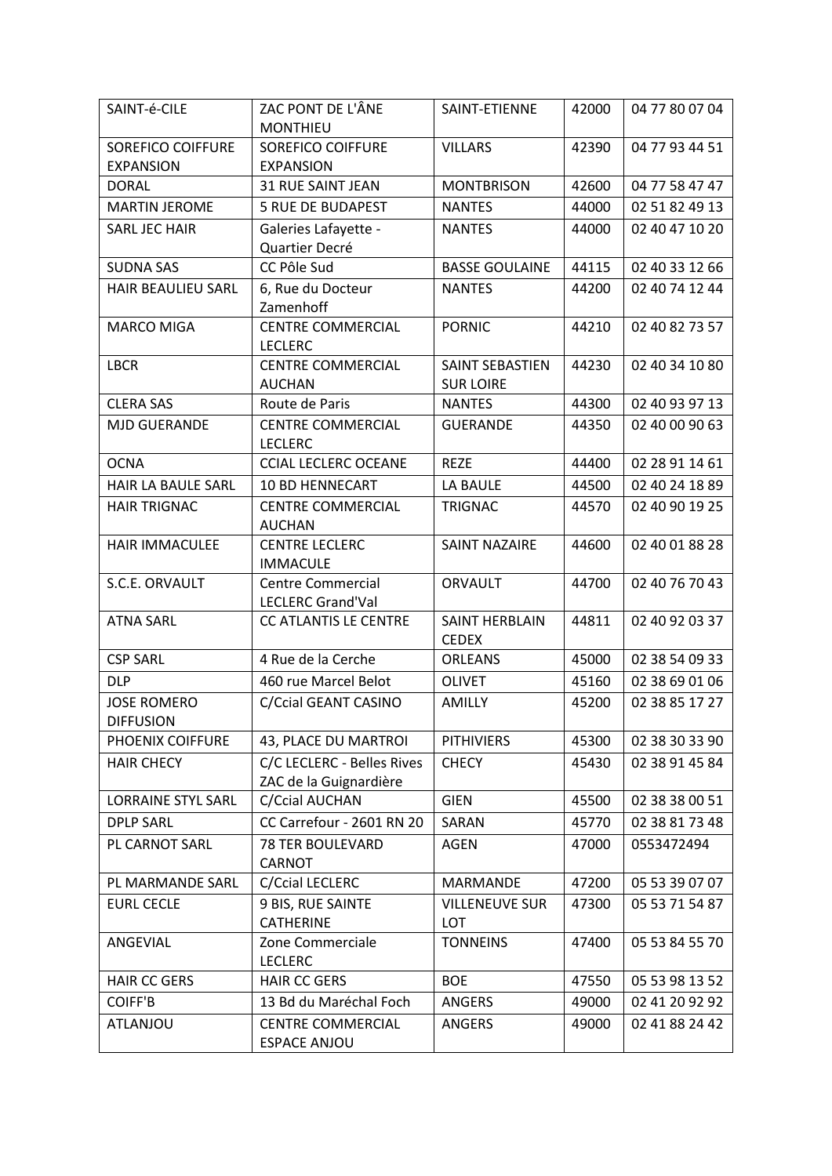| SAINT-é-CILE              | ZAC PONT DE L'ÂNE                                    | SAINT-ETIENNE         | 42000 | 04 77 80 07 04 |
|---------------------------|------------------------------------------------------|-----------------------|-------|----------------|
|                           | <b>MONTHIEU</b>                                      |                       |       |                |
| <b>SOREFICO COIFFURE</b>  | <b>SOREFICO COIFFURE</b>                             | <b>VILLARS</b>        | 42390 | 04 77 93 44 51 |
| <b>EXPANSION</b>          | <b>EXPANSION</b>                                     |                       |       |                |
| <b>DORAL</b>              | <b>31 RUE SAINT JEAN</b>                             | <b>MONTBRISON</b>     | 42600 | 04 77 58 47 47 |
| <b>MARTIN JEROME</b>      | <b>5 RUE DE BUDAPEST</b>                             | <b>NANTES</b>         | 44000 | 02 51 82 49 13 |
| SARL JEC HAIR             | Galeries Lafayette -                                 | <b>NANTES</b>         | 44000 | 02 40 47 10 20 |
|                           | Quartier Decré                                       |                       |       |                |
| <b>SUDNA SAS</b>          | CC Pôle Sud                                          | <b>BASSE GOULAINE</b> | 44115 | 02 40 33 12 66 |
| HAIR BEAULIEU SARL        | 6, Rue du Docteur                                    | <b>NANTES</b>         | 44200 | 02 40 74 12 44 |
|                           | Zamenhoff                                            |                       |       |                |
| <b>MARCO MIGA</b>         | <b>CENTRE COMMERCIAL</b>                             | <b>PORNIC</b>         | 44210 | 02 40 82 73 57 |
|                           | <b>LECLERC</b>                                       |                       |       |                |
| <b>LBCR</b>               | <b>CENTRE COMMERCIAL</b>                             | SAINT SEBASTIEN       | 44230 | 02 40 34 10 80 |
|                           | <b>AUCHAN</b>                                        | <b>SUR LOIRE</b>      |       |                |
| <b>CLERA SAS</b>          | Route de Paris                                       | <b>NANTES</b>         | 44300 | 02 40 93 97 13 |
| <b>MJD GUERANDE</b>       | <b>CENTRE COMMERCIAL</b>                             | <b>GUERANDE</b>       | 44350 | 02 40 00 90 63 |
|                           | <b>LECLERC</b>                                       |                       |       |                |
| <b>OCNA</b>               | <b>CCIAL LECLERC OCEANE</b>                          | <b>REZE</b>           | 44400 | 02 28 91 14 61 |
| HAIR LA BAULE SARL        | <b>10 BD HENNECART</b>                               | LA BAULE              | 44500 | 02 40 24 18 89 |
| <b>HAIR TRIGNAC</b>       | <b>CENTRE COMMERCIAL</b>                             | <b>TRIGNAC</b>        | 44570 | 02 40 90 19 25 |
|                           | <b>AUCHAN</b>                                        |                       |       |                |
| <b>HAIR IMMACULEE</b>     | <b>CENTRE LECLERC</b>                                | <b>SAINT NAZAIRE</b>  | 44600 | 02 40 01 88 28 |
|                           | <b>IMMACULE</b>                                      |                       |       |                |
| S.C.E. ORVAULT            | <b>Centre Commercial</b><br><b>LECLERC Grand'Val</b> | <b>ORVAULT</b>        | 44700 | 02 40 76 70 43 |
| <b>ATNA SARL</b>          | CC ATLANTIS LE CENTRE                                | SAINT HERBLAIN        | 44811 | 02 40 92 03 37 |
|                           |                                                      | <b>CEDEX</b>          |       |                |
| <b>CSP SARL</b>           | 4 Rue de la Cerche                                   | <b>ORLEANS</b>        | 45000 | 02 38 54 09 33 |
| <b>DLP</b>                | 460 rue Marcel Belot                                 | <b>OLIVET</b>         | 45160 | 02 38 69 01 06 |
| <b>JOSE ROMERO</b>        | C/Ccial GEANT CASINO                                 | AMILLY                | 45200 | 02 38 85 17 27 |
| <b>DIFFUSION</b>          |                                                      |                       |       |                |
| <b>PHOENIX COIFFURE</b>   | 43, PLACE DU MARTROI                                 | <b>PITHIVIERS</b>     | 45300 | 02 38 30 33 90 |
| <b>HAIR CHECY</b>         | C/C LECLERC - Belles Rives                           | <b>CHECY</b>          | 45430 | 02 38 91 45 84 |
|                           | ZAC de la Guignardière                               |                       |       |                |
| <b>LORRAINE STYL SARL</b> | C/Ccial AUCHAN                                       | <b>GIEN</b>           | 45500 | 02 38 38 00 51 |
| <b>DPLP SARL</b>          | CC Carrefour - 2601 RN 20                            | SARAN                 | 45770 | 02 38 81 73 48 |
| PL CARNOT SARL            | <b>78 TER BOULEVARD</b>                              | <b>AGEN</b>           | 47000 | 0553472494     |
|                           | CARNOT                                               |                       |       |                |
| PL MARMANDE SARL          | C/Ccial LECLERC                                      | MARMANDE              | 47200 | 05 53 39 07 07 |
| <b>EURL CECLE</b>         | 9 BIS, RUE SAINTE                                    | <b>VILLENEUVE SUR</b> | 47300 | 05 53 71 54 87 |
|                           | <b>CATHERINE</b>                                     | LOT                   |       |                |
| ANGEVIAL                  | Zone Commerciale                                     | <b>TONNEINS</b>       | 47400 | 05 53 84 55 70 |
|                           | <b>LECLERC</b>                                       |                       |       |                |
| <b>HAIR CC GERS</b>       | <b>HAIR CC GERS</b>                                  | <b>BOE</b>            | 47550 | 05 53 98 13 52 |
| <b>COIFF'B</b>            | 13 Bd du Maréchal Foch                               | ANGERS                | 49000 | 02 41 20 92 92 |
| ATLANJOU                  | <b>CENTRE COMMERCIAL</b>                             | <b>ANGERS</b>         | 49000 | 02 41 88 24 42 |
|                           | <b>ESPACE ANJOU</b>                                  |                       |       |                |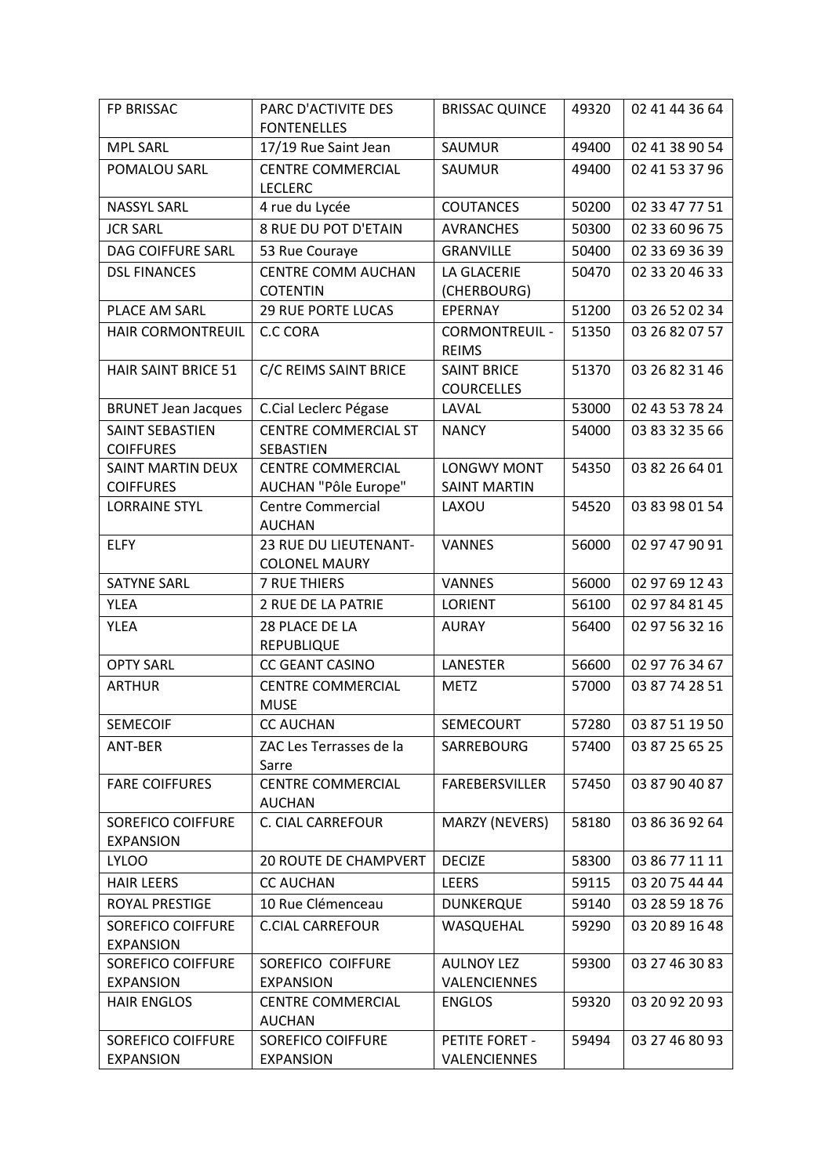| FP BRISSAC                                   | PARC D'ACTIVITE DES                           | <b>BRISSAC QUINCE</b>                   | 49320 | 02 41 44 36 64 |
|----------------------------------------------|-----------------------------------------------|-----------------------------------------|-------|----------------|
|                                              | <b>FONTENELLES</b>                            |                                         |       |                |
| <b>MPL SARL</b>                              | 17/19 Rue Saint Jean                          | SAUMUR                                  | 49400 | 02 41 38 90 54 |
| POMALOU SARL                                 | <b>CENTRE COMMERCIAL</b><br><b>LECLERC</b>    | SAUMUR                                  | 49400 | 02 41 53 37 96 |
| <b>NASSYL SARL</b>                           | 4 rue du Lycée                                | <b>COUTANCES</b>                        | 50200 | 02 33 47 77 51 |
| <b>JCR SARL</b>                              | 8 RUE DU POT D'ETAIN                          | <b>AVRANCHES</b>                        | 50300 | 02 33 60 96 75 |
| DAG COIFFURE SARL                            | 53 Rue Couraye                                | <b>GRANVILLE</b>                        | 50400 | 02 33 69 36 39 |
| <b>DSL FINANCES</b>                          | <b>CENTRE COMM AUCHAN</b>                     | <b>LA GLACERIE</b>                      | 50470 | 02 33 20 46 33 |
|                                              | <b>COTENTIN</b>                               | (CHERBOURG)                             |       |                |
| PLACE AM SARL                                | <b>29 RUE PORTE LUCAS</b>                     | <b>EPERNAY</b>                          | 51200 | 03 26 52 02 34 |
| HAIR CORMONTREUIL                            | <b>C.C CORA</b>                               | <b>CORMONTREUIL -</b><br><b>REIMS</b>   | 51350 | 03 26 82 07 57 |
| <b>HAIR SAINT BRICE 51</b>                   | C/C REIMS SAINT BRICE                         | <b>SAINT BRICE</b><br><b>COURCELLES</b> | 51370 | 03 26 82 31 46 |
| <b>BRUNET Jean Jacques</b>                   | C.Cial Leclerc Pégase                         | LAVAL                                   | 53000 | 02 43 53 78 24 |
| SAINT SEBASTIEN                              | <b>CENTRE COMMERCIAL ST</b>                   | <b>NANCY</b>                            | 54000 | 03 83 32 35 66 |
| <b>COIFFURES</b>                             | SEBASTIEN                                     |                                         |       |                |
| <b>SAINT MARTIN DEUX</b>                     | <b>CENTRE COMMERCIAL</b>                      | <b>LONGWY MONT</b>                      | 54350 | 03 82 26 64 01 |
| <b>COIFFURES</b>                             | AUCHAN "Pôle Europe"                          | <b>SAINT MARTIN</b>                     |       |                |
| <b>LORRAINE STYL</b>                         | <b>Centre Commercial</b><br><b>AUCHAN</b>     | LAXOU                                   | 54520 | 03 83 98 01 54 |
| <b>ELFY</b>                                  | 23 RUE DU LIEUTENANT-<br><b>COLONEL MAURY</b> | <b>VANNES</b>                           | 56000 | 02 97 47 90 91 |
| <b>SATYNE SARL</b>                           | <b>7 RUE THIERS</b>                           | <b>VANNES</b>                           | 56000 | 02 97 69 12 43 |
| <b>YLEA</b>                                  | 2 RUE DE LA PATRIE                            | <b>LORIENT</b>                          | 56100 | 02 97 84 81 45 |
| <b>YLEA</b>                                  | 28 PLACE DE LA<br><b>REPUBLIQUE</b>           | <b>AURAY</b>                            | 56400 | 02 97 56 32 16 |
| <b>OPTY SARL</b>                             | <b>CC GEANT CASINO</b>                        | LANESTER                                | 56600 | 02 97 76 34 67 |
| <b>ARTHUR</b>                                | <b>CENTRE COMMERCIAL</b><br><b>MUSE</b>       | <b>METZ</b>                             | 57000 | 03 87 74 28 51 |
| <b>SEMECOIF</b>                              | <b>CC AUCHAN</b>                              | SEMECOURT                               | 57280 | 03 87 51 19 50 |
| ANT-BER                                      | ZAC Les Terrasses de la<br>Sarre              | SARREBOURG                              | 57400 | 03 87 25 65 25 |
| <b>FARE COIFFURES</b>                        | <b>CENTRE COMMERCIAL</b><br><b>AUCHAN</b>     | <b>FAREBERSVILLER</b>                   | 57450 | 03 87 90 40 87 |
| <b>SOREFICO COIFFURE</b><br><b>EXPANSION</b> | <b>C. CIAL CARREFOUR</b>                      | MARZY (NEVERS)                          | 58180 | 03 86 36 92 64 |
| <b>LYLOO</b>                                 | <b>20 ROUTE DE CHAMPVERT</b>                  | <b>DECIZE</b>                           | 58300 | 03 86 77 11 11 |
| <b>HAIR LEERS</b>                            | <b>CC AUCHAN</b>                              | <b>LEERS</b>                            | 59115 | 03 20 75 44 44 |
| ROYAL PRESTIGE                               | 10 Rue Clémenceau                             | <b>DUNKERQUE</b>                        | 59140 | 03 28 59 18 76 |
| <b>SOREFICO COIFFURE</b><br><b>EXPANSION</b> | <b>C.CIAL CARREFOUR</b>                       | WASQUEHAL                               | 59290 | 03 20 89 16 48 |
| <b>SOREFICO COIFFURE</b>                     | SOREFICO COIFFURE                             | <b>AULNOY LEZ</b>                       | 59300 | 03 27 46 30 83 |
| <b>EXPANSION</b>                             | <b>EXPANSION</b>                              | VALENCIENNES                            |       |                |
| <b>HAIR ENGLOS</b>                           | <b>CENTRE COMMERCIAL</b><br><b>AUCHAN</b>     | <b>ENGLOS</b>                           | 59320 | 03 20 92 20 93 |
| <b>SOREFICO COIFFURE</b>                     | SOREFICO COIFFURE                             | PETITE FORET -                          | 59494 | 03 27 46 80 93 |
| <b>EXPANSION</b>                             | <b>EXPANSION</b>                              | VALENCIENNES                            |       |                |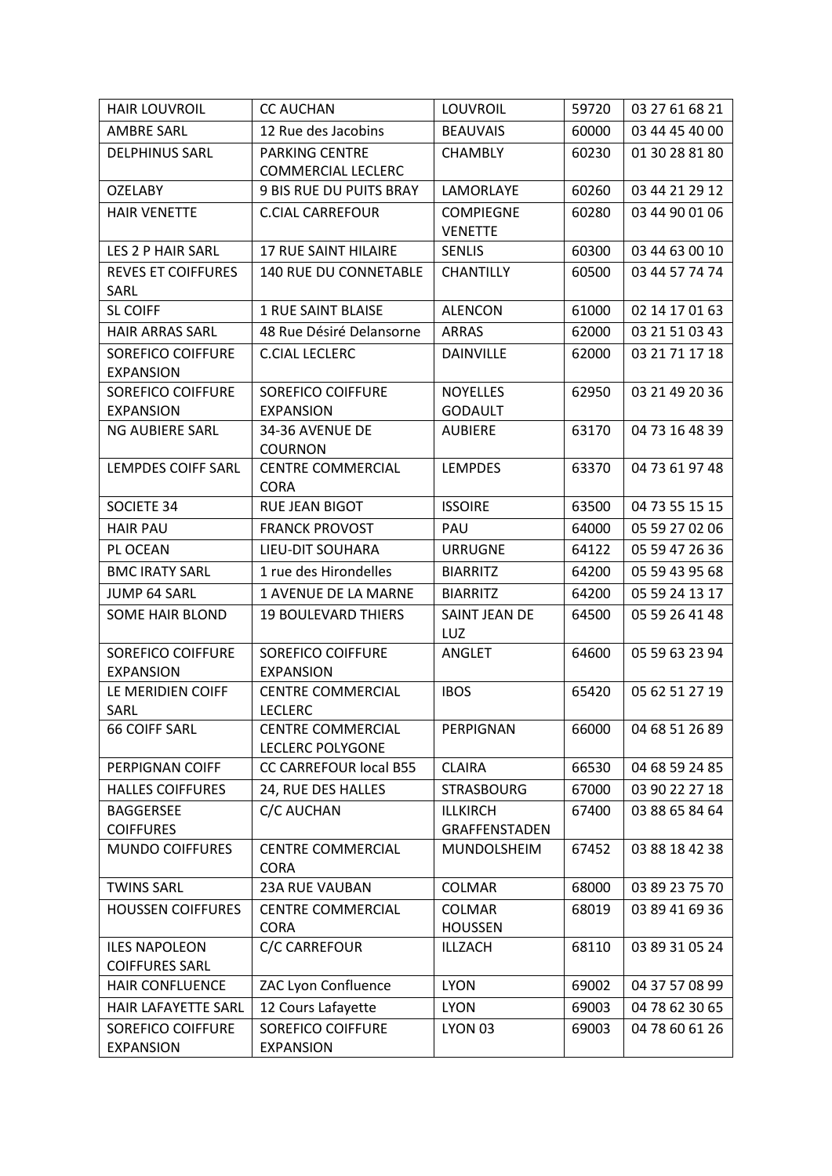| <b>HAIR LOUVROIL</b>                          | <b>CC AUCHAN</b>                                    | LOUVROIL                           | 59720 | 03 27 61 68 21 |
|-----------------------------------------------|-----------------------------------------------------|------------------------------------|-------|----------------|
| AMBRE SARL                                    | 12 Rue des Jacobins                                 | <b>BEAUVAIS</b>                    | 60000 | 03 44 45 40 00 |
| <b>DELPHINUS SARL</b>                         | PARKING CENTRE<br><b>COMMERCIAL LECLERC</b>         | <b>CHAMBLY</b>                     | 60230 | 01 30 28 81 80 |
| <b>OZELABY</b>                                | <b>9 BIS RUE DU PUITS BRAY</b>                      | LAMORLAYE                          | 60260 | 03 44 21 29 12 |
| <b>HAIR VENETTE</b>                           | <b>C.CIAL CARREFOUR</b>                             | <b>COMPIEGNE</b><br><b>VENETTE</b> | 60280 | 03 44 90 01 06 |
| LES 2 P HAIR SARL                             | <b>17 RUE SAINT HILAIRE</b>                         | <b>SENLIS</b>                      | 60300 | 03 44 63 00 10 |
| <b>REVES ET COIFFURES</b><br>SARL             | <b>140 RUE DU CONNETABLE</b>                        | <b>CHANTILLY</b>                   | 60500 | 03 44 57 74 74 |
| <b>SL COIFF</b>                               | <b>1 RUE SAINT BLAISE</b>                           | <b>ALENCON</b>                     | 61000 | 02 14 17 01 63 |
| <b>HAIR ARRAS SARL</b>                        | 48 Rue Désiré Delansorne                            | <b>ARRAS</b>                       | 62000 | 03 21 51 03 43 |
| <b>SOREFICO COIFFURE</b><br><b>EXPANSION</b>  | <b>C.CIAL LECLERC</b>                               | <b>DAINVILLE</b>                   | 62000 | 03 21 71 17 18 |
| <b>SOREFICO COIFFURE</b>                      | SOREFICO COIFFURE                                   | <b>NOYELLES</b>                    | 62950 | 03 21 49 20 36 |
| <b>EXPANSION</b>                              | <b>EXPANSION</b>                                    | <b>GODAULT</b>                     |       |                |
| NG AUBIERE SARL                               | 34-36 AVENUE DE<br><b>COURNON</b>                   | <b>AUBIERE</b>                     | 63170 | 04 73 16 48 39 |
| <b>LEMPDES COIFF SARL</b>                     | <b>CENTRE COMMERCIAL</b><br><b>CORA</b>             | <b>LEMPDES</b>                     | 63370 | 04 73 61 97 48 |
| <b>SOCIETE 34</b>                             | <b>RUE JEAN BIGOT</b>                               | <b>ISSOIRE</b>                     | 63500 | 04 73 55 15 15 |
| <b>HAIR PAU</b>                               | <b>FRANCK PROVOST</b>                               | PAU                                | 64000 | 05 59 27 02 06 |
| PL OCEAN                                      | LIEU-DIT SOUHARA                                    | <b>URRUGNE</b>                     | 64122 | 05 59 47 26 36 |
| <b>BMC IRATY SARL</b>                         | 1 rue des Hirondelles                               | <b>BIARRITZ</b>                    | 64200 | 05 59 43 95 68 |
| <b>JUMP 64 SARL</b>                           | <b>1 AVENUE DE LA MARNE</b>                         | <b>BIARRITZ</b>                    | 64200 | 05 59 24 13 17 |
| <b>SOME HAIR BLOND</b>                        | <b>19 BOULEVARD THIERS</b>                          | SAINT JEAN DE<br>LUZ               | 64500 | 05 59 26 41 48 |
| <b>SOREFICO COIFFURE</b>                      | SOREFICO COIFFURE                                   | ANGLET                             | 64600 | 05 59 63 23 94 |
| <b>EXPANSION</b>                              | <b>EXPANSION</b>                                    |                                    |       |                |
| LE MERIDIEN COIFF                             | <b>CENTRE COMMERCIAL</b>                            | <b>IBOS</b>                        | 65420 | 05 62 51 27 19 |
| SARL                                          | <b>LECLERC</b>                                      |                                    |       |                |
| <b>66 COIFF SARL</b>                          | <b>CENTRE COMMERCIAL</b><br><b>LECLERC POLYGONE</b> | PERPIGNAN                          | 66000 | 04 68 51 26 89 |
| PERPIGNAN COIFF                               | <b>CC CARREFOUR local B55</b>                       | <b>CLAIRA</b>                      | 66530 | 04 68 59 24 85 |
| <b>HALLES COIFFURES</b>                       | 24, RUE DES HALLES                                  | <b>STRASBOURG</b>                  | 67000 | 03 90 22 27 18 |
| <b>BAGGERSEE</b>                              | C/C AUCHAN                                          | <b>ILLKIRCH</b>                    | 67400 | 03 88 65 84 64 |
| <b>COIFFURES</b>                              |                                                     | GRAFFENSTADEN                      |       |                |
| <b>MUNDO COIFFURES</b>                        | <b>CENTRE COMMERCIAL</b><br><b>CORA</b>             | MUNDOLSHEIM                        | 67452 | 03 88 18 42 38 |
| <b>TWINS SARL</b>                             | <b>23A RUE VAUBAN</b>                               | COLMAR                             | 68000 | 03 89 23 75 70 |
| <b>HOUSSEN COIFFURES</b>                      | <b>CENTRE COMMERCIAL</b><br><b>CORA</b>             | <b>COLMAR</b><br><b>HOUSSEN</b>    | 68019 | 03 89 41 69 36 |
| <b>ILES NAPOLEON</b><br><b>COIFFURES SARL</b> | C/C CARREFOUR                                       | ILLZACH                            | 68110 | 03 89 31 05 24 |
| <b>HAIR CONFLUENCE</b>                        | ZAC Lyon Confluence                                 | <b>LYON</b>                        | 69002 | 04 37 57 08 99 |
| HAIR LAFAYETTE SARL                           | 12 Cours Lafayette                                  | <b>LYON</b>                        | 69003 | 04 78 62 30 65 |
| <b>SOREFICO COIFFURE</b><br><b>EXPANSION</b>  | <b>SOREFICO COIFFURE</b><br><b>EXPANSION</b>        | LYON 03                            | 69003 | 04 78 60 61 26 |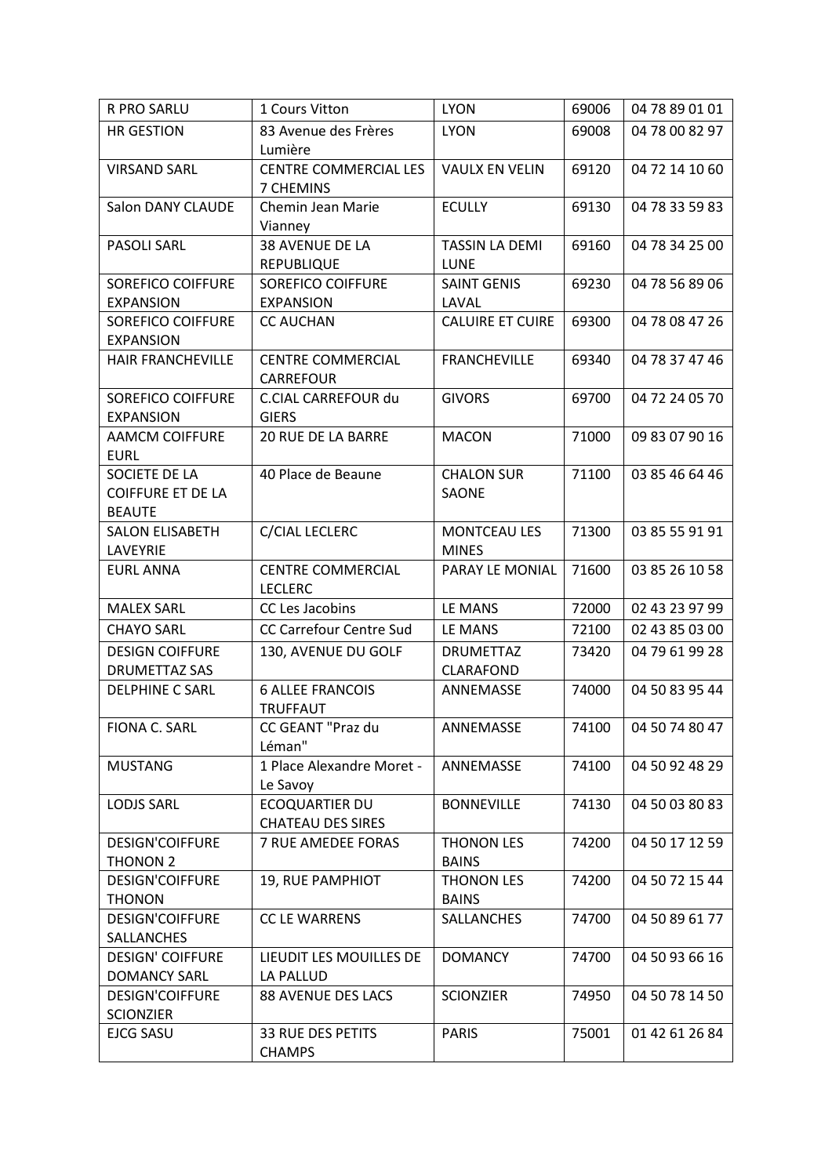| R PRO SARLU              | 1 Cours Vitton                               | <b>LYON</b>             | 69006 | 04 78 89 01 01 |
|--------------------------|----------------------------------------------|-------------------------|-------|----------------|
| <b>HR GESTION</b>        | 83 Avenue des Frères                         | <b>LYON</b>             | 69008 | 04 78 00 82 97 |
|                          | Lumière                                      |                         |       |                |
| <b>VIRSAND SARL</b>      | CENTRE COMMERCIAL LES                        | <b>VAULX EN VELIN</b>   | 69120 | 04 72 14 10 60 |
|                          | 7 CHEMINS                                    |                         |       |                |
| Salon DANY CLAUDE        | Chemin Jean Marie                            | <b>ECULLY</b>           | 69130 | 04 78 33 59 83 |
|                          | Vianney                                      |                         |       |                |
| PASOLI SARL              | 38 AVENUE DE LA                              | <b>TASSIN LA DEMI</b>   | 69160 | 04 78 34 25 00 |
|                          | <b>REPUBLIQUE</b>                            | <b>LUNE</b>             |       |                |
| <b>SOREFICO COIFFURE</b> | SOREFICO COIFFURE                            | <b>SAINT GENIS</b>      | 69230 | 04 78 56 89 06 |
| <b>EXPANSION</b>         | <b>EXPANSION</b>                             | LAVAL                   |       |                |
| <b>SOREFICO COIFFURE</b> | <b>CC AUCHAN</b>                             | <b>CALUIRE ET CUIRE</b> | 69300 | 04 78 08 47 26 |
| <b>EXPANSION</b>         |                                              |                         |       |                |
| HAIR FRANCHEVILLE        | <b>CENTRE COMMERCIAL</b><br><b>CARREFOUR</b> | <b>FRANCHEVILLE</b>     | 69340 | 04 78 37 47 46 |
| <b>SOREFICO COIFFURE</b> | C.CIAL CARREFOUR du                          | <b>GIVORS</b>           | 69700 | 04 72 24 05 70 |
| <b>EXPANSION</b>         | <b>GIERS</b>                                 |                         |       |                |
| <b>AAMCM COIFFURE</b>    | <b>20 RUE DE LA BARRE</b>                    | <b>MACON</b>            | 71000 | 09 83 07 90 16 |
| <b>EURL</b>              |                                              |                         |       |                |
| SOCIETE DE LA            | 40 Place de Beaune                           | <b>CHALON SUR</b>       | 71100 | 03 85 46 64 46 |
| <b>COIFFURE ET DE LA</b> |                                              | <b>SAONE</b>            |       |                |
| <b>BEAUTE</b>            |                                              |                         |       |                |
| <b>SALON ELISABETH</b>   | C/CIAL LECLERC                               | <b>MONTCEAU LES</b>     | 71300 | 03 85 55 91 91 |
| LAVEYRIE                 |                                              | <b>MINES</b>            |       |                |
| <b>EURL ANNA</b>         | <b>CENTRE COMMERCIAL</b>                     | PARAY LE MONIAL         | 71600 | 03 85 26 10 58 |
|                          | <b>LECLERC</b>                               |                         |       |                |
| <b>MALEX SARL</b>        | CC Les Jacobins                              | LE MANS                 | 72000 | 02 43 23 97 99 |
| <b>CHAYO SARL</b>        | CC Carrefour Centre Sud                      | LE MANS                 | 72100 | 02 43 85 03 00 |
| <b>DESIGN COIFFURE</b>   | 130, AVENUE DU GOLF                          | <b>DRUMETTAZ</b>        | 73420 | 04 79 61 99 28 |
| DRUMETTAZ SAS            |                                              | <b>CLARAFOND</b>        |       |                |
| <b>DELPHINE C SARL</b>   | <b>6 ALLEE FRANCOIS</b>                      | ANNEMASSE               | 74000 | 04 50 83 95 44 |
|                          | <b>TRUFFAUT</b>                              |                         |       |                |
| FIONA C. SARL            | CC GEANT "Praz du                            | ANNEMASSE               | 74100 | 04 50 74 80 47 |
|                          | Léman"                                       |                         |       |                |
| <b>MUSTANG</b>           | 1 Place Alexandre Moret -                    | ANNEMASSE               | 74100 | 04 50 92 48 29 |
|                          | Le Savoy<br><b>ECOQUARTIER DU</b>            |                         |       | 04 50 03 80 83 |
| <b>LODJS SARL</b>        | <b>CHATEAU DES SIRES</b>                     | <b>BONNEVILLE</b>       | 74130 |                |
| <b>DESIGN'COIFFURE</b>   | 7 RUE AMEDEE FORAS                           | THONON LES              | 74200 | 04 50 17 12 59 |
| THONON 2                 |                                              | <b>BAINS</b>            |       |                |
| <b>DESIGN'COIFFURE</b>   | 19, RUE PAMPHIOT                             | <b>THONON LES</b>       | 74200 | 04 50 72 15 44 |
| <b>THONON</b>            |                                              | <b>BAINS</b>            |       |                |
| <b>DESIGN'COIFFURE</b>   | CC LE WARRENS                                | SALLANCHES              | 74700 | 04 50 89 61 77 |
| <b>SALLANCHES</b>        |                                              |                         |       |                |
| <b>DESIGN' COIFFURE</b>  | LIEUDIT LES MOUILLES DE                      | <b>DOMANCY</b>          | 74700 | 04 50 93 66 16 |
| <b>DOMANCY SARL</b>      | LA PALLUD                                    |                         |       |                |
| <b>DESIGN'COIFFURE</b>   | 88 AVENUE DES LACS                           | <b>SCIONZIER</b>        | 74950 | 04 50 78 14 50 |
| <b>SCIONZIER</b>         |                                              |                         |       |                |
| EJCG SASU                | <b>33 RUE DES PETITS</b>                     | <b>PARIS</b>            | 75001 | 01 42 61 26 84 |
|                          | <b>CHAMPS</b>                                |                         |       |                |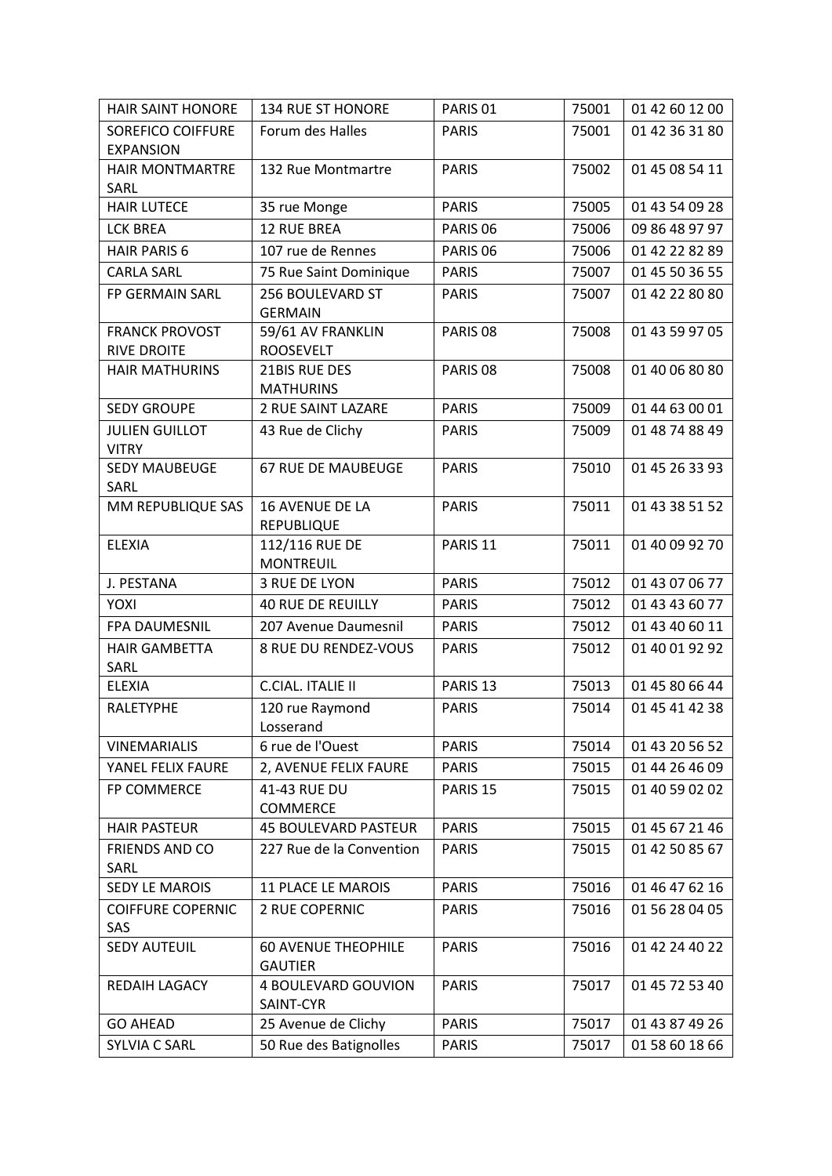| <b>HAIR SAINT HONORE</b> | <b>134 RUE ST HONORE</b>          | PARIS <sub>01</sub> | 75001 | 01 42 60 12 00 |
|--------------------------|-----------------------------------|---------------------|-------|----------------|
| <b>SOREFICO COIFFURE</b> | Forum des Halles                  | <b>PARIS</b>        | 75001 | 01 42 36 31 80 |
| <b>EXPANSION</b>         |                                   |                     |       |                |
| <b>HAIR MONTMARTRE</b>   | 132 Rue Montmartre                | <b>PARIS</b>        | 75002 | 01 45 08 54 11 |
| SARL                     |                                   |                     |       |                |
| <b>HAIR LUTECE</b>       | 35 rue Monge                      | <b>PARIS</b>        | 75005 | 01 43 54 09 28 |
| <b>LCK BREA</b>          | <b>12 RUE BREA</b>                | PARIS <sub>06</sub> | 75006 | 09 86 48 97 97 |
| <b>HAIR PARIS 6</b>      | 107 rue de Rennes                 | PARIS <sub>06</sub> | 75006 | 01 42 22 82 89 |
| <b>CARLA SARL</b>        | 75 Rue Saint Dominique            | <b>PARIS</b>        | 75007 | 01 45 50 36 55 |
| FP GERMAIN SARL          | 256 BOULEVARD ST                  | <b>PARIS</b>        | 75007 | 01 42 22 80 80 |
|                          | <b>GERMAIN</b>                    |                     |       |                |
| <b>FRANCK PROVOST</b>    | 59/61 AV FRANKLIN                 | PARIS <sub>08</sub> | 75008 | 01 43 59 97 05 |
| <b>RIVE DROITE</b>       | <b>ROOSEVELT</b>                  |                     |       |                |
| <b>HAIR MATHURINS</b>    | 21BIS RUE DES<br><b>MATHURINS</b> | PARIS <sub>08</sub> | 75008 | 01 40 06 80 80 |
| <b>SEDY GROUPE</b>       | 2 RUE SAINT LAZARE                | <b>PARIS</b>        | 75009 | 01 44 63 00 01 |
| <b>JULIEN GUILLOT</b>    | 43 Rue de Clichy                  | <b>PARIS</b>        | 75009 | 01 48 74 88 49 |
| <b>VITRY</b>             |                                   |                     |       |                |
| <b>SEDY MAUBEUGE</b>     | <b>67 RUE DE MAUBEUGE</b>         | <b>PARIS</b>        | 75010 | 01 45 26 33 93 |
| SARL                     |                                   |                     |       |                |
| MM REPUBLIQUE SAS        | <b>16 AVENUE DE LA</b>            | <b>PARIS</b>        | 75011 | 01 43 38 51 52 |
|                          | <b>REPUBLIQUE</b>                 |                     |       |                |
| <b>ELEXIA</b>            | 112/116 RUE DE                    | PARIS <sub>11</sub> | 75011 | 01 40 09 92 70 |
|                          | <b>MONTREUIL</b>                  |                     |       |                |
| J. PESTANA               | 3 RUE DE LYON                     | <b>PARIS</b>        | 75012 | 01 43 07 06 77 |
| YOXI                     | <b>40 RUE DE REUILLY</b>          | <b>PARIS</b>        | 75012 | 01 43 43 60 77 |
| FPA DAUMESNIL            | 207 Avenue Daumesnil              | <b>PARIS</b>        | 75012 | 01 43 40 60 11 |
| <b>HAIR GAMBETTA</b>     | 8 RUE DU RENDEZ-VOUS              | <b>PARIS</b>        | 75012 | 01 40 01 92 92 |
| SARL                     |                                   |                     |       |                |
| <b>ELEXIA</b>            | C.CIAL. ITALIE II                 | PARIS <sub>13</sub> | 75013 | 01 45 80 66 44 |
| RALETYPHE                | 120 rue Raymond                   | <b>PARIS</b>        | 75014 | 01 45 41 42 38 |
|                          | Losserand                         |                     |       |                |
| <b>VINEMARIALIS</b>      | 6 rue de l'Ouest                  | <b>PARIS</b>        | 75014 | 01 43 20 56 52 |
| YANEL FELIX FAURE        | 2, AVENUE FELIX FAURE             | <b>PARIS</b>        | 75015 | 01 44 26 46 09 |
| FP COMMERCE              | 41-43 RUE DU<br><b>COMMERCE</b>   | PARIS <sub>15</sub> | 75015 | 01 40 59 02 02 |
| <b>HAIR PASTEUR</b>      | <b>45 BOULEVARD PASTEUR</b>       | <b>PARIS</b>        | 75015 | 01 45 67 21 46 |
| FRIENDS AND CO           | 227 Rue de la Convention          | <b>PARIS</b>        | 75015 | 01 42 50 85 67 |
| SARL                     |                                   |                     |       |                |
| <b>SEDY LE MAROIS</b>    | <b>11 PLACE LE MAROIS</b>         | <b>PARIS</b>        | 75016 | 01 46 47 62 16 |
| <b>COIFFURE COPERNIC</b> | <b>2 RUE COPERNIC</b>             | <b>PARIS</b>        | 75016 | 01 56 28 04 05 |
| SAS                      |                                   |                     |       |                |
| <b>SEDY AUTEUIL</b>      | <b>60 AVENUE THEOPHILE</b>        | <b>PARIS</b>        | 75016 | 01 42 24 40 22 |
|                          | <b>GAUTIER</b>                    |                     |       |                |
| REDAIH LAGACY            | 4 BOULEVARD GOUVION               | <b>PARIS</b>        | 75017 | 01 45 72 53 40 |
|                          | SAINT-CYR                         |                     |       |                |
| <b>GO AHEAD</b>          | 25 Avenue de Clichy               | <b>PARIS</b>        | 75017 | 01 43 87 49 26 |
| <b>SYLVIA C SARL</b>     | 50 Rue des Batignolles            | <b>PARIS</b>        | 75017 | 01 58 60 18 66 |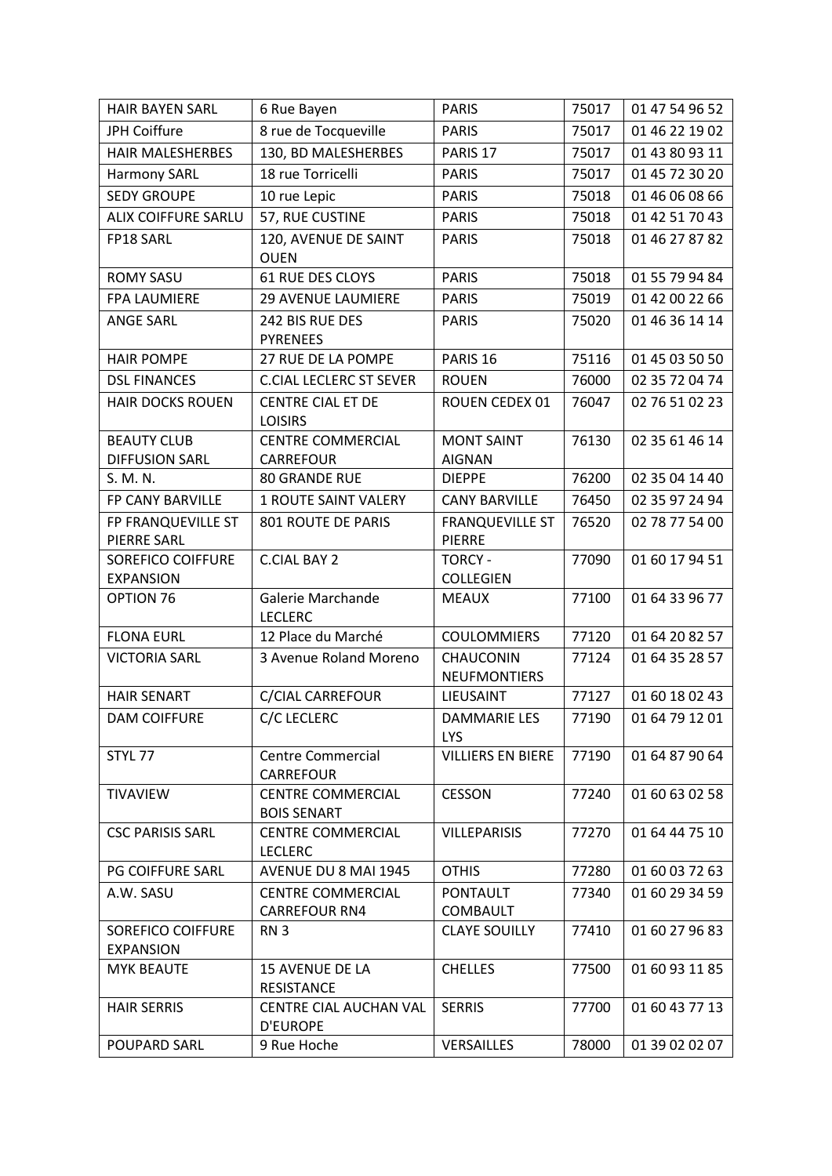| <b>HAIR BAYEN SARL</b>            | 6 Rue Bayen                                      | <b>PARIS</b>                            | 75017 | 01 47 54 96 52 |
|-----------------------------------|--------------------------------------------------|-----------------------------------------|-------|----------------|
| JPH Coiffure                      | 8 rue de Tocqueville                             | <b>PARIS</b>                            | 75017 | 01 46 22 19 02 |
| <b>HAIR MALESHERBES</b>           | 130, BD MALESHERBES                              | PARIS <sub>17</sub>                     | 75017 | 01 43 80 93 11 |
| <b>Harmony SARL</b>               | 18 rue Torricelli                                | <b>PARIS</b>                            | 75017 | 01 45 72 30 20 |
| <b>SEDY GROUPE</b>                | 10 rue Lepic                                     | <b>PARIS</b>                            | 75018 | 01 46 06 08 66 |
| <b>ALIX COIFFURE SARLU</b>        | 57, RUE CUSTINE                                  | <b>PARIS</b>                            | 75018 | 01 42 51 70 43 |
| FP18 SARL                         | 120, AVENUE DE SAINT<br><b>OUEN</b>              | <b>PARIS</b>                            | 75018 | 01 46 27 87 82 |
| <b>ROMY SASU</b>                  | <b>61 RUE DES CLOYS</b>                          | <b>PARIS</b>                            | 75018 | 01 55 79 94 84 |
| <b>FPA LAUMIERE</b>               | <b>29 AVENUE LAUMIERE</b>                        | <b>PARIS</b>                            | 75019 | 01 42 00 22 66 |
| <b>ANGE SARL</b>                  | 242 BIS RUE DES                                  | <b>PARIS</b>                            | 75020 | 01 46 36 14 14 |
|                                   | <b>PYRENEES</b>                                  |                                         |       |                |
| <b>HAIR POMPE</b>                 | 27 RUE DE LA POMPE                               | PARIS <sub>16</sub>                     | 75116 | 01 45 03 50 50 |
| <b>DSL FINANCES</b>               | <b>C.CIAL LECLERC ST SEVER</b>                   | <b>ROUEN</b>                            | 76000 | 02 35 72 04 74 |
| <b>HAIR DOCKS ROUEN</b>           | <b>CENTRE CIAL ET DE</b>                         | ROUEN CEDEX 01                          | 76047 | 02 76 51 02 23 |
|                                   | <b>LOISIRS</b>                                   |                                         |       |                |
| <b>BEAUTY CLUB</b>                | <b>CENTRE COMMERCIAL</b>                         | <b>MONT SAINT</b>                       | 76130 | 02 35 61 46 14 |
| <b>DIFFUSION SARL</b>             | <b>CARREFOUR</b>                                 | <b>AIGNAN</b>                           |       |                |
| S. M. N.                          | <b>80 GRANDE RUE</b>                             | <b>DIEPPE</b>                           | 76200 | 02 35 04 14 40 |
| FP CANY BARVILLE                  | <b>1 ROUTE SAINT VALERY</b>                      | <b>CANY BARVILLE</b>                    | 76450 | 02 35 97 24 94 |
| FP FRANQUEVILLE ST<br>PIERRE SARL | 801 ROUTE DE PARIS                               | <b>FRANQUEVILLE ST</b><br><b>PIERRE</b> | 76520 | 02 78 77 54 00 |
| SOREFICO COIFFURE                 | <b>C.CIAL BAY 2</b>                              | <b>TORCY -</b>                          | 77090 | 01 60 17 94 51 |
| <b>EXPANSION</b>                  |                                                  | <b>COLLEGIEN</b>                        |       |                |
| OPTION 76                         | Galerie Marchande<br><b>LECLERC</b>              | <b>MEAUX</b>                            | 77100 | 01 64 33 96 77 |
| <b>FLONA EURL</b>                 | 12 Place du Marché                               | <b>COULOMMIERS</b>                      | 77120 | 01 64 20 82 57 |
| <b>VICTORIA SARL</b>              | 3 Avenue Roland Moreno                           | CHAUCONIN<br><b>NEUFMONTIERS</b>        | 77124 | 01 64 35 28 57 |
| <b>HAIR SENART</b>                | C/CIAL CARREFOUR                                 | LIEUSAINT                               | 77127 | 01 60 18 02 43 |
| <b>DAM COIFFURE</b>               | C/C LECLERC                                      | <b>DAMMARIE LES</b>                     | 77190 | 01 64 79 12 01 |
|                                   |                                                  | <b>LYS</b>                              |       |                |
| STYL 77                           | <b>Centre Commercial</b><br><b>CARREFOUR</b>     | <b>VILLIERS EN BIERE</b>                | 77190 | 01 64 87 90 64 |
| <b>TIVAVIEW</b>                   | <b>CENTRE COMMERCIAL</b><br><b>BOIS SENART</b>   | <b>CESSON</b>                           | 77240 | 01 60 63 02 58 |
| <b>CSC PARISIS SARL</b>           | <b>CENTRE COMMERCIAL</b>                         | <b>VILLEPARISIS</b>                     | 77270 | 01 64 44 75 10 |
|                                   | <b>LECLERC</b>                                   |                                         |       |                |
| <b>PG COIFFURE SARL</b>           | AVENUE DU 8 MAI 1945                             | <b>OTHIS</b>                            | 77280 | 01 60 03 72 63 |
| A.W. SASU                         | <b>CENTRE COMMERCIAL</b>                         | <b>PONTAULT</b>                         | 77340 | 01 60 29 34 59 |
|                                   | <b>CARREFOUR RN4</b>                             | <b>COMBAULT</b>                         |       |                |
| SOREFICO COIFFURE                 | RN <sub>3</sub>                                  | <b>CLAYE SOUILLY</b>                    | 77410 | 01 60 27 96 83 |
| <b>EXPANSION</b>                  |                                                  |                                         |       |                |
| <b>MYK BEAUTE</b>                 | <b>15 AVENUE DE LA</b>                           | <b>CHELLES</b>                          | 77500 | 01 60 93 11 85 |
|                                   | <b>RESISTANCE</b>                                |                                         |       |                |
| <b>HAIR SERRIS</b>                | <b>CENTRE CIAL AUCHAN VAL</b><br><b>D'EUROPE</b> | <b>SERRIS</b>                           | 77700 | 01 60 43 77 13 |
| <b>POUPARD SARL</b>               | 9 Rue Hoche                                      | <b>VERSAILLES</b>                       | 78000 | 01 39 02 02 07 |
|                                   |                                                  |                                         |       |                |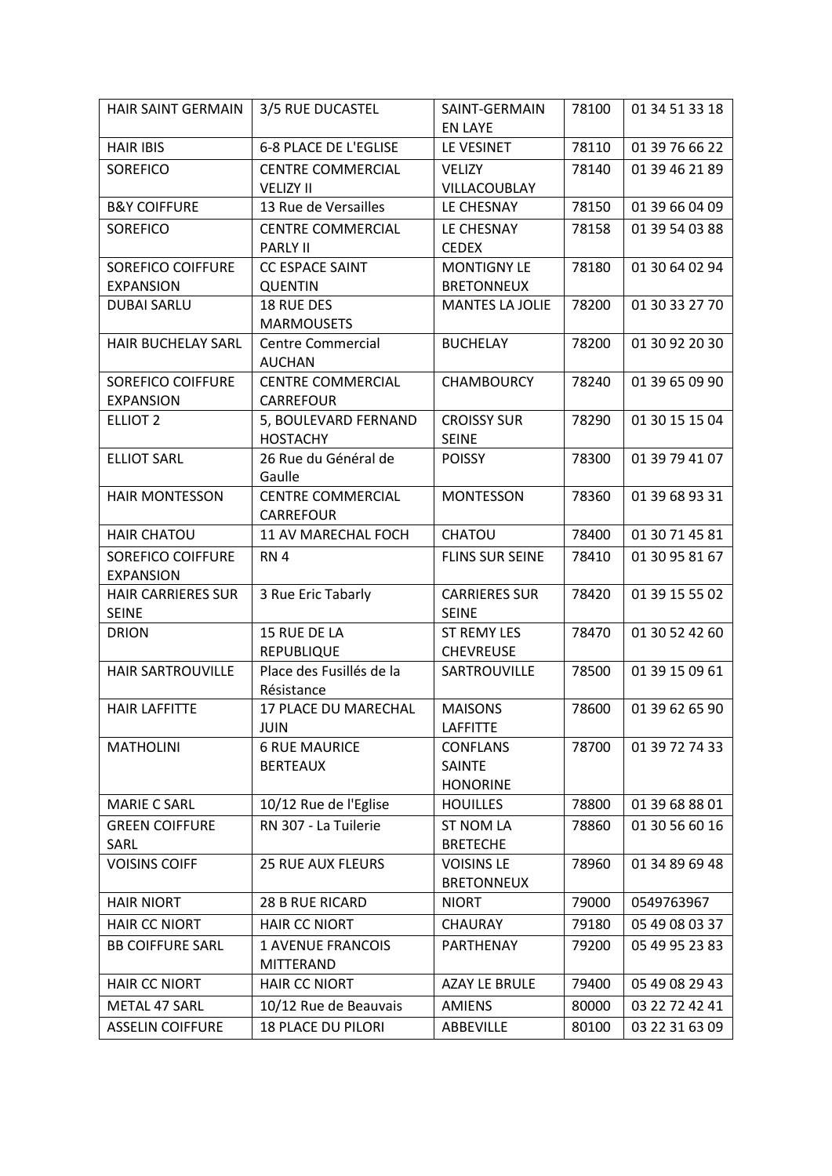| HAIR SAINT GERMAIN        | 3/5 RUE DUCASTEL                             | SAINT-GERMAIN                | 78100 | 01 34 51 33 18 |
|---------------------------|----------------------------------------------|------------------------------|-------|----------------|
| <b>HAIR IBIS</b>          | 6-8 PLACE DE L'EGLISE                        | <b>EN LAYE</b><br>LE VESINET |       | 01 39 76 66 22 |
|                           |                                              |                              | 78110 |                |
| <b>SOREFICO</b>           | <b>CENTRE COMMERCIAL</b>                     | <b>VELIZY</b>                | 78140 | 01 39 46 21 89 |
|                           | <b>VELIZY II</b>                             | VILLACOUBLAY                 |       |                |
| <b>B&amp;Y COIFFURE</b>   | 13 Rue de Versailles                         | LE CHESNAY                   | 78150 | 01 39 66 04 09 |
| SOREFICO                  | <b>CENTRE COMMERCIAL</b><br><b>PARLY II</b>  | LE CHESNAY<br><b>CEDEX</b>   | 78158 | 01 39 54 03 88 |
| <b>SOREFICO COIFFURE</b>  | <b>CC ESPACE SAINT</b>                       | <b>MONTIGNY LE</b>           | 78180 | 01 30 64 02 94 |
| <b>EXPANSION</b>          | <b>QUENTIN</b>                               | <b>BRETONNEUX</b>            |       |                |
| DUBAI SARLU               | 18 RUE DES                                   | <b>MANTES LA JOLIE</b>       | 78200 | 01 30 33 27 70 |
|                           | <b>MARMOUSETS</b>                            |                              |       |                |
| HAIR BUCHELAY SARL        | <b>Centre Commercial</b>                     | <b>BUCHELAY</b>              | 78200 | 01 30 92 20 30 |
|                           | <b>AUCHAN</b>                                |                              |       |                |
| <b>SOREFICO COIFFURE</b>  | <b>CENTRE COMMERCIAL</b>                     | <b>CHAMBOURCY</b>            | 78240 | 01 39 65 09 90 |
| <b>EXPANSION</b>          | <b>CARREFOUR</b>                             |                              |       |                |
| <b>ELLIOT 2</b>           | 5, BOULEVARD FERNAND                         | <b>CROISSY SUR</b>           | 78290 | 01 30 15 15 04 |
|                           | <b>HOSTACHY</b>                              | <b>SEINE</b>                 |       |                |
| <b>ELLIOT SARL</b>        | 26 Rue du Général de<br>Gaulle               | <b>POISSY</b>                | 78300 | 01 39 79 41 07 |
|                           |                                              |                              |       |                |
| <b>HAIR MONTESSON</b>     | <b>CENTRE COMMERCIAL</b><br><b>CARREFOUR</b> | <b>MONTESSON</b>             | 78360 | 01 39 68 93 31 |
| <b>HAIR CHATOU</b>        | 11 AV MARECHAL FOCH                          | CHATOU                       | 78400 | 01 30 71 45 81 |
| <b>SOREFICO COIFFURE</b>  | RN <sub>4</sub>                              | <b>FLINS SUR SEINE</b>       | 78410 | 01 30 95 81 67 |
| <b>EXPANSION</b>          |                                              |                              |       |                |
| <b>HAIR CARRIERES SUR</b> | 3 Rue Eric Tabarly                           | <b>CARRIERES SUR</b>         | 78420 | 01 39 15 55 02 |
| <b>SEINE</b>              |                                              | <b>SEINE</b>                 |       |                |
| <b>DRION</b>              | 15 RUE DE LA                                 | <b>ST REMY LES</b>           | 78470 | 01 30 52 42 60 |
|                           | <b>REPUBLIQUE</b>                            | <b>CHEVREUSE</b>             |       |                |
| HAIR SARTROUVILLE         | Place des Fusillés de la                     | SARTROUVILLE                 | 78500 | 01 39 15 09 61 |
|                           | Résistance                                   |                              |       |                |
| <b>HAIR LAFFITTE</b>      | 17 PLACE DU MARECHAL                         | <b>MAISONS</b>               | 78600 | 01 39 62 65 90 |
|                           | JUIN                                         | LAFFITTE                     |       |                |
| <b>MATHOLINI</b>          | <b>6 RUE MAURICE</b>                         | <b>CONFLANS</b>              | 78700 | 01 39 72 74 33 |
|                           | <b>BERTEAUX</b>                              | <b>SAINTE</b>                |       |                |
|                           |                                              | <b>HONORINE</b>              |       |                |
| <b>MARIE C SARL</b>       | 10/12 Rue de l'Eglise                        | <b>HOUILLES</b>              | 78800 | 01 39 68 88 01 |
| <b>GREEN COIFFURE</b>     | RN 307 - La Tuilerie                         | <b>ST NOM LA</b>             | 78860 | 01 30 56 60 16 |
| SARL                      |                                              | <b>BRETECHE</b>              |       |                |
| <b>VOISINS COIFF</b>      | <b>25 RUE AUX FLEURS</b>                     | <b>VOISINS LE</b>            | 78960 | 01 34 89 69 48 |
|                           |                                              | <b>BRETONNEUX</b>            |       |                |
| <b>HAIR NIORT</b>         | 28 B RUE RICARD                              | <b>NIORT</b>                 | 79000 | 0549763967     |
| <b>HAIR CC NIORT</b>      | <b>HAIR CC NIORT</b>                         | <b>CHAURAY</b>               | 79180 | 05 49 08 03 37 |
| <b>BB COIFFURE SARL</b>   | <b>1 AVENUE FRANCOIS</b>                     | PARTHENAY                    | 79200 | 05 49 95 23 83 |
|                           | <b>MITTERAND</b>                             |                              |       |                |
| <b>HAIR CC NIORT</b>      | <b>HAIR CC NIORT</b>                         | <b>AZAY LE BRULE</b>         | 79400 | 05 49 08 29 43 |
| METAL 47 SARL             | 10/12 Rue de Beauvais                        | <b>AMIENS</b>                | 80000 | 03 22 72 42 41 |
| <b>ASSELIN COIFFURE</b>   | <b>18 PLACE DU PILORI</b>                    | ABBEVILLE                    | 80100 | 03 22 31 63 09 |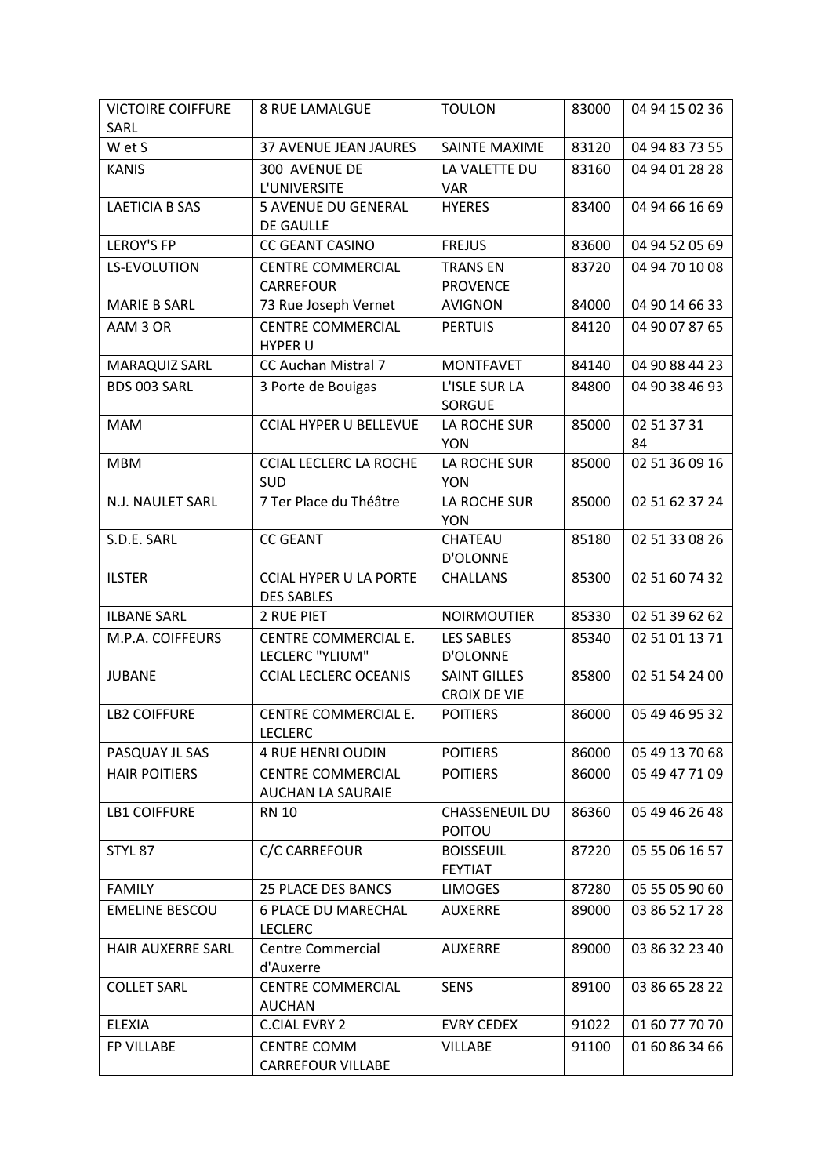| <b>VICTOIRE COIFFURE</b> | <b>8 RUE LAMALGUE</b>                  | <b>TOULON</b>                      | 83000 | 04 94 15 02 36 |
|--------------------------|----------------------------------------|------------------------------------|-------|----------------|
| SARL                     |                                        |                                    |       |                |
| W et S                   | <b>37 AVENUE JEAN JAURES</b>           | SAINTE MAXIME                      | 83120 | 04 94 83 73 55 |
| <b>KANIS</b>             | 300 AVENUE DE                          | LA VALETTE DU                      | 83160 | 04 94 01 28 28 |
|                          | L'UNIVERSITE                           | <b>VAR</b>                         |       |                |
| <b>LAETICIA B SAS</b>    | <b>5 AVENUE DU GENERAL</b>             | <b>HYERES</b>                      | 83400 | 04 94 66 16 69 |
| <b>LEROY'S FP</b>        | DE GAULLE<br><b>CC GEANT CASINO</b>    | <b>FREJUS</b>                      | 83600 | 04 94 52 05 69 |
|                          | <b>CENTRE COMMERCIAL</b>               |                                    |       | 04 94 70 10 08 |
| <b>LS-EVOLUTION</b>      | CARREFOUR                              | <b>TRANS EN</b><br><b>PROVENCE</b> | 83720 |                |
| <b>MARIE B SARL</b>      | 73 Rue Joseph Vernet                   | <b>AVIGNON</b>                     | 84000 | 04 90 14 66 33 |
| AAM 3 OR                 | <b>CENTRE COMMERCIAL</b>               | <b>PERTUIS</b>                     | 84120 | 04 90 07 87 65 |
|                          | <b>HYPER U</b>                         |                                    |       |                |
| MARAQUIZ SARL            | CC Auchan Mistral 7                    | <b>MONTFAVET</b>                   | 84140 | 04 90 88 44 23 |
| BDS 003 SARL             | 3 Porte de Bouigas                     | L'ISLE SUR LA                      | 84800 | 04 90 38 46 93 |
|                          |                                        | <b>SORGUE</b>                      |       |                |
| <b>MAM</b>               | <b>CCIAL HYPER U BELLEVUE</b>          | LA ROCHE SUR                       | 85000 | 02 51 37 31    |
|                          |                                        | <b>YON</b>                         |       | 84             |
| <b>MBM</b>               | <b>CCIAL LECLERC LA ROCHE</b>          | LA ROCHE SUR                       | 85000 | 02 51 36 09 16 |
|                          | <b>SUD</b>                             | <b>YON</b>                         |       |                |
| N.J. NAULET SARL         | 7 Ter Place du Théâtre                 | LA ROCHE SUR<br><b>YON</b>         | 85000 | 02 51 62 37 24 |
| S.D.E. SARL              | <b>CC GEANT</b>                        | CHATEAU                            | 85180 | 02 51 33 08 26 |
|                          |                                        | <b>D'OLONNE</b>                    |       |                |
| <b>ILSTER</b>            | <b>CCIAL HYPER U LA PORTE</b>          | <b>CHALLANS</b>                    | 85300 | 02 51 60 74 32 |
|                          | <b>DES SABLES</b>                      |                                    |       |                |
| <b>ILBANE SARL</b>       | 2 RUE PIET                             | <b>NOIRMOUTIER</b>                 | 85330 | 02 51 39 62 62 |
| M.P.A. COIFFEURS         | CENTRE COMMERCIAL E.                   | <b>LES SABLES</b>                  | 85340 | 02 51 01 13 71 |
|                          | LECLERC "YLIUM"                        | <b>D'OLONNE</b>                    |       |                |
| <b>JUBANE</b>            | <b>CCIAL LECLERC OCEANIS</b>           | <b>SAINT GILLES</b>                | 85800 | 02 51 54 24 00 |
|                          |                                        | <b>CROIX DE VIE</b>                |       |                |
| <b>LB2 COIFFURE</b>      | CENTRE COMMERCIAL E.<br><b>LECLERC</b> | <b>POITIERS</b>                    | 86000 | 05 49 46 95 32 |
| PASQUAY JL SAS           | <b>4 RUE HENRI OUDIN</b>               | <b>POITIERS</b>                    | 86000 | 05 49 13 70 68 |
| <b>HAIR POITIERS</b>     | <b>CENTRE COMMERCIAL</b>               | <b>POITIERS</b>                    | 86000 | 05 49 47 71 09 |
|                          | <b>AUCHAN LA SAURAIE</b>               |                                    |       |                |
| <b>LB1 COIFFURE</b>      | <b>RN 10</b>                           | <b>CHASSENEUIL DU</b>              | 86360 | 05 49 46 26 48 |
|                          |                                        | <b>POITOU</b>                      |       |                |
| STYL 87                  | <b>C/C CARREFOUR</b>                   | <b>BOISSEUIL</b>                   | 87220 | 05 55 06 16 57 |
|                          |                                        | <b>FEYTIAT</b>                     |       |                |
| <b>FAMILY</b>            | <b>25 PLACE DES BANCS</b>              | <b>LIMOGES</b>                     | 87280 | 05 55 05 90 60 |
| <b>EMELINE BESCOU</b>    | <b>6 PLACE DU MARECHAL</b>             | <b>AUXERRE</b>                     | 89000 | 03 86 52 17 28 |
|                          | <b>LECLERC</b>                         |                                    |       |                |
| <b>HAIR AUXERRE SARL</b> | <b>Centre Commercial</b>               | <b>AUXERRE</b>                     | 89000 | 03 86 32 23 40 |
| <b>COLLET SARL</b>       | d'Auxerre<br><b>CENTRE COMMERCIAL</b>  | <b>SENS</b>                        | 89100 | 03 86 65 28 22 |
|                          | <b>AUCHAN</b>                          |                                    |       |                |
| <b>ELEXIA</b>            | <b>C.CIAL EVRY 2</b>                   | <b>EVRY CEDEX</b>                  | 91022 | 01 60 77 70 70 |
| <b>FP VILLABE</b>        | <b>CENTRE COMM</b>                     | <b>VILLABE</b>                     | 91100 | 01 60 86 34 66 |
|                          | <b>CARREFOUR VILLABE</b>               |                                    |       |                |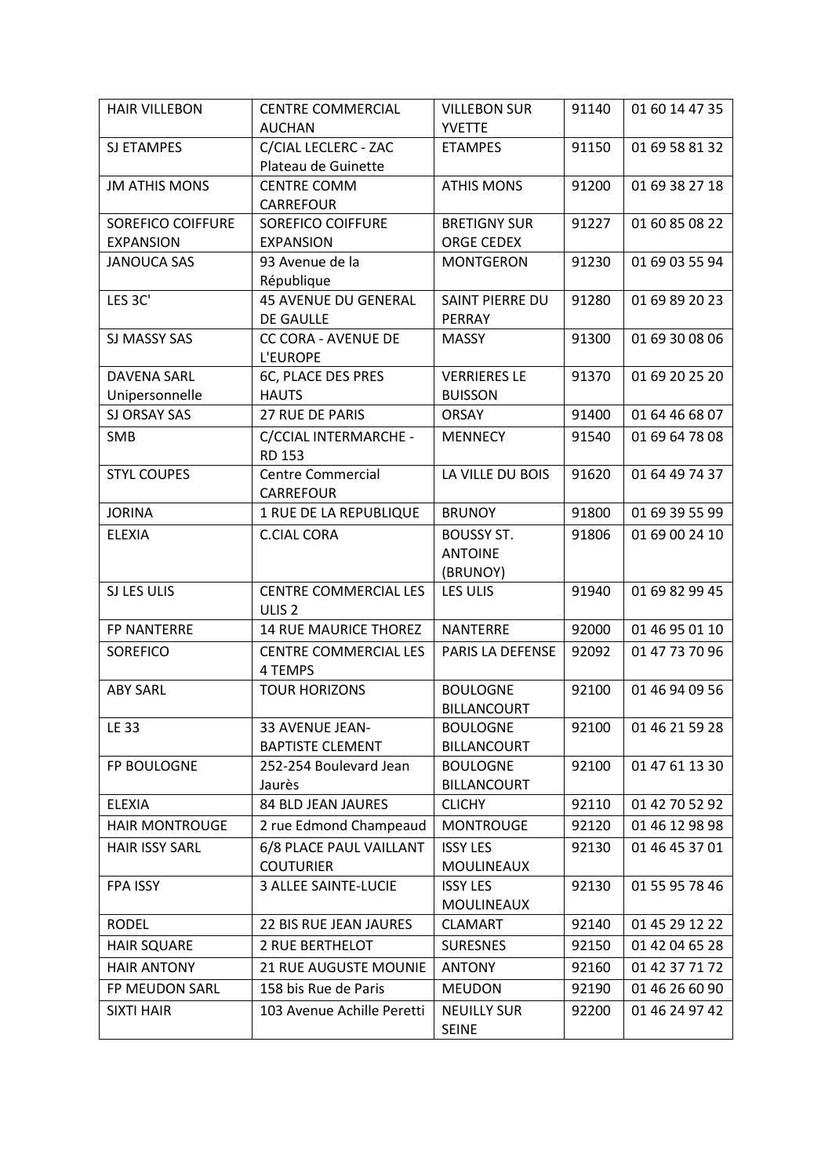| <b>HAIR VILLEBON</b>     | <b>CENTRE COMMERCIAL</b>               | <b>VILLEBON SUR</b>                | 91140 | 01 60 14 47 35 |
|--------------------------|----------------------------------------|------------------------------------|-------|----------------|
|                          | <b>AUCHAN</b>                          | <b>YVETTE</b>                      |       |                |
| SJ ETAMPES               | C/CIAL LECLERC - ZAC                   | <b>ETAMPES</b>                     | 91150 | 01 69 58 81 32 |
|                          | Plateau de Guinette                    |                                    |       |                |
| <b>JM ATHIS MONS</b>     | <b>CENTRE COMM</b><br>CARREFOUR        | <b>ATHIS MONS</b>                  | 91200 | 01 69 38 27 18 |
| <b>SOREFICO COIFFURE</b> | <b>SOREFICO COIFFURE</b>               | <b>BRETIGNY SUR</b>                | 91227 | 01 60 85 08 22 |
| <b>EXPANSION</b>         | <b>EXPANSION</b>                       | <b>ORGE CEDEX</b>                  |       |                |
| <b>JANOUCA SAS</b>       | 93 Avenue de la<br>République          | <b>MONTGERON</b>                   | 91230 | 01 69 03 55 94 |
| LES 3C'                  | <b>45 AVENUE DU GENERAL</b>            | <b>SAINT PIERRE DU</b>             | 91280 | 01 69 89 20 23 |
|                          | <b>DE GAULLE</b>                       | PERRAY                             |       |                |
| SJ MASSY SAS             | <b>CC CORA - AVENUE DE</b>             | <b>MASSY</b>                       | 91300 | 01 69 30 08 06 |
|                          | <b>L'EUROPE</b>                        |                                    |       |                |
| <b>DAVENA SARL</b>       | 6C, PLACE DES PRES                     | <b>VERRIERES LE</b>                | 91370 | 01 69 20 25 20 |
| Unipersonnelle           | <b>HAUTS</b>                           | <b>BUISSON</b>                     |       |                |
| <b>SJ ORSAY SAS</b>      | 27 RUE DE PARIS                        | <b>ORSAY</b>                       | 91400 | 01 64 46 68 07 |
| SMB                      | C/CCIAL INTERMARCHE -<br><b>RD 153</b> | <b>MENNECY</b>                     | 91540 | 01 69 64 78 08 |
| <b>STYL COUPES</b>       | <b>Centre Commercial</b><br>CARREFOUR  | LA VILLE DU BOIS                   | 91620 | 01 64 49 74 37 |
| <b>JORINA</b>            | 1 RUE DE LA REPUBLIQUE                 | <b>BRUNOY</b>                      | 91800 | 01 69 39 55 99 |
| <b>ELEXIA</b>            | <b>C.CIAL CORA</b>                     | <b>BOUSSY ST.</b>                  | 91806 | 01 69 00 24 10 |
|                          |                                        | <b>ANTOINE</b>                     |       |                |
|                          |                                        | (BRUNOY)                           |       |                |
| SJ LES ULIS              | <b>CENTRE COMMERCIAL LES</b>           | <b>LES ULIS</b>                    | 91940 | 01 69 82 99 45 |
|                          | ULIS <sub>2</sub>                      |                                    |       |                |
| <b>FP NANTERRE</b>       | 14 RUE MAURICE THOREZ                  | <b>NANTERRE</b>                    | 92000 | 01 46 95 01 10 |
| <b>SOREFICO</b>          | <b>CENTRE COMMERCIAL LES</b>           | PARIS LA DEFENSE                   | 92092 | 01 47 73 70 96 |
|                          | 4 TEMPS                                |                                    |       |                |
| <b>ABY SARL</b>          | <b>TOUR HORIZONS</b>                   | <b>BOULOGNE</b>                    | 92100 | 01 46 94 09 56 |
|                          |                                        | <b>BILLANCOURT</b>                 |       |                |
| LE 33                    | 33 AVENUE JEAN-                        | <b>BOULOGNE</b>                    | 92100 | 01 46 21 59 28 |
|                          | <b>BAPTISTE CLEMENT</b>                | <b>BILLANCOURT</b>                 |       |                |
| FP BOULOGNE              | 252-254 Boulevard Jean                 | <b>BOULOGNE</b>                    | 92100 | 01 47 61 13 30 |
|                          | Jaurès                                 | <b>BILLANCOURT</b>                 |       |                |
| <b>ELEXIA</b>            | 84 BLD JEAN JAURES                     | <b>CLICHY</b>                      | 92110 | 01 42 70 52 92 |
| <b>HAIR MONTROUGE</b>    | 2 rue Edmond Champeaud                 | <b>MONTROUGE</b>                   | 92120 | 01 46 12 98 98 |
| <b>HAIR ISSY SARL</b>    | 6/8 PLACE PAUL VAILLANT                | <b>ISSY LES</b>                    | 92130 | 01 46 45 37 01 |
|                          | <b>COUTURIER</b>                       | <b>MOULINEAUX</b>                  |       |                |
| <b>FPA ISSY</b>          | 3 ALLEE SAINTE-LUCIE                   | <b>ISSY LES</b>                    | 92130 | 01 55 95 78 46 |
|                          |                                        | MOULINEAUX                         |       |                |
| <b>RODEL</b>             | 22 BIS RUE JEAN JAURES                 | <b>CLAMART</b>                     | 92140 | 01 45 29 12 22 |
| <b>HAIR SQUARE</b>       | <b>2 RUE BERTHELOT</b>                 | <b>SURESNES</b>                    | 92150 | 01 42 04 65 28 |
| <b>HAIR ANTONY</b>       | <b>21 RUE AUGUSTE MOUNIE</b>           | <b>ANTONY</b>                      | 92160 | 01 42 37 71 72 |
| FP MEUDON SARL           | 158 bis Rue de Paris                   | <b>MEUDON</b>                      | 92190 | 01 46 26 60 90 |
| <b>SIXTI HAIR</b>        | 103 Avenue Achille Peretti             | <b>NEUILLY SUR</b><br><b>SEINE</b> | 92200 | 01 46 24 97 42 |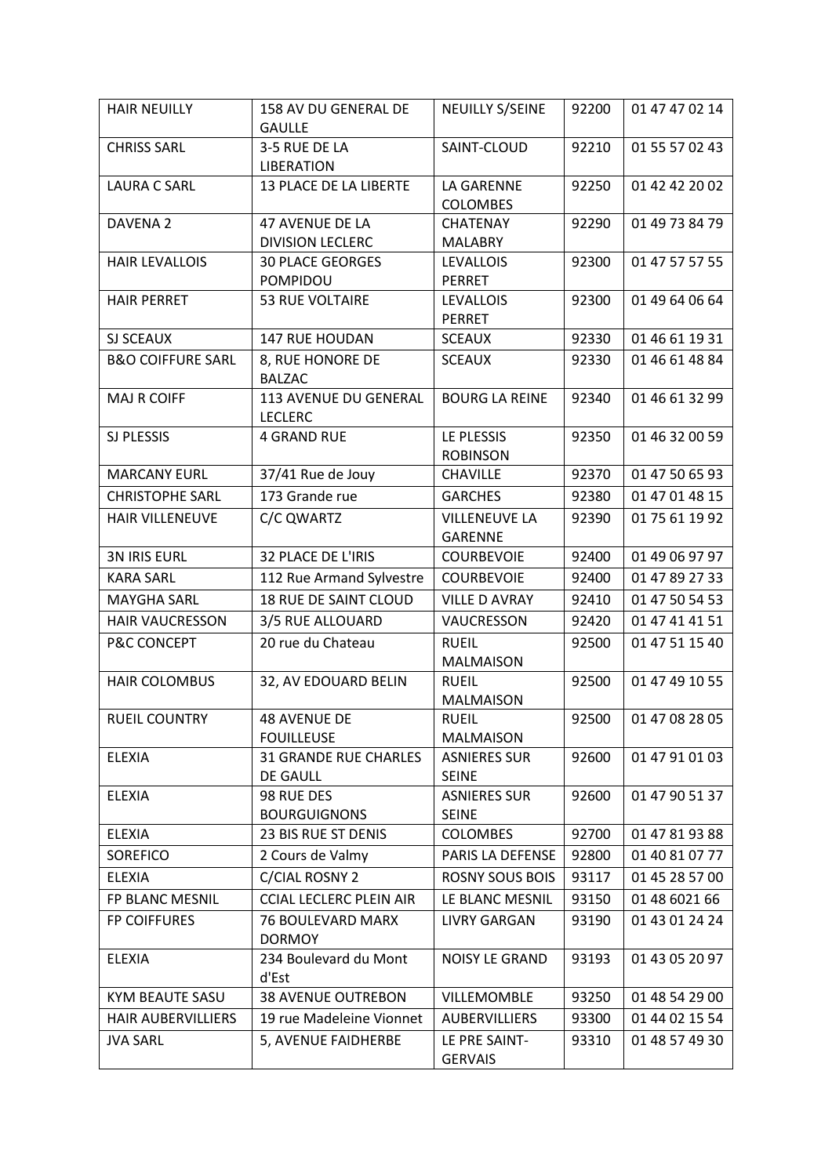| <b>HAIR NEUILLY</b>          | 158 AV DU GENERAL DE<br><b>GAULLE</b> | <b>NEUILLY S/SEINE</b>           | 92200 | 01 47 47 02 14 |
|------------------------------|---------------------------------------|----------------------------------|-------|----------------|
| <b>CHRISS SARL</b>           | 3-5 RUE DE LA                         | SAINT-CLOUD                      | 92210 | 01 55 57 02 43 |
|                              | <b>LIBERATION</b>                     |                                  |       |                |
| <b>LAURA C SARL</b>          | 13 PLACE DE LA LIBERTE                | LA GARENNE                       | 92250 | 01 42 42 20 02 |
|                              |                                       | <b>COLOMBES</b>                  |       |                |
| DAVENA 2                     | 47 AVENUE DE LA                       | <b>CHATENAY</b>                  | 92290 | 01 49 73 84 79 |
|                              | <b>DIVISION LECLERC</b>               | <b>MALABRY</b>                   |       |                |
| <b>HAIR LEVALLOIS</b>        | <b>30 PLACE GEORGES</b>               | <b>LEVALLOIS</b>                 | 92300 | 01 47 57 57 55 |
|                              | POMPIDOU                              | <b>PERRET</b>                    |       |                |
| <b>HAIR PERRET</b>           | 53 RUE VOLTAIRE                       | <b>LEVALLOIS</b><br>PERRET       | 92300 | 01 49 64 06 64 |
| SJ SCEAUX                    | 147 RUE HOUDAN                        | <b>SCEAUX</b>                    | 92330 | 01 46 61 19 31 |
| <b>B&amp;O COIFFURE SARL</b> | 8, RUE HONORE DE                      | <b>SCEAUX</b>                    | 92330 | 01 46 61 48 84 |
|                              | <b>BALZAC</b>                         |                                  |       |                |
| <b>MAJ R COIFF</b>           | 113 AVENUE DU GENERAL                 | <b>BOURG LA REINE</b>            | 92340 | 01 46 61 32 99 |
|                              | <b>LECLERC</b>                        |                                  |       |                |
| SJ PLESSIS                   | <b>4 GRAND RUE</b>                    | LE PLESSIS                       | 92350 | 01 46 32 00 59 |
|                              |                                       | <b>ROBINSON</b>                  |       |                |
| <b>MARCANY EURL</b>          | 37/41 Rue de Jouy                     | CHAVILLE                         | 92370 | 01 47 50 65 93 |
| <b>CHRISTOPHE SARL</b>       | 173 Grande rue                        | <b>GARCHES</b>                   | 92380 | 01 47 01 48 15 |
| <b>HAIR VILLENEUVE</b>       | C/C QWARTZ                            | <b>VILLENEUVE LA</b>             | 92390 | 01 75 61 19 92 |
|                              |                                       | <b>GARENNE</b>                   |       |                |
| <b>3N IRIS EURL</b>          | 32 PLACE DE L'IRIS                    | <b>COURBEVOIE</b>                | 92400 | 01 49 06 97 97 |
| <b>KARA SARL</b>             | 112 Rue Armand Sylvestre              | <b>COURBEVOIE</b>                | 92400 | 01 47 89 27 33 |
| <b>MAYGHA SARL</b>           | 18 RUE DE SAINT CLOUD                 | <b>VILLE D AVRAY</b>             | 92410 | 01 47 50 54 53 |
| <b>HAIR VAUCRESSON</b>       | 3/5 RUE ALLOUARD                      | VAUCRESSON                       | 92420 | 01 47 41 41 51 |
| P&C CONCEPT                  | 20 rue du Chateau                     | <b>RUEIL</b>                     | 92500 | 01 47 51 15 40 |
|                              |                                       | <b>MALMAISON</b>                 |       |                |
| <b>HAIR COLOMBUS</b>         | 32, AV EDOUARD BELIN                  | <b>RUEIL</b>                     | 92500 | 01 47 49 10 55 |
|                              |                                       | <b>MALMAISON</b>                 | 92500 |                |
| RUEIL COUNTRY                | 48 AVENUE DE<br><b>FOUILLEUSE</b>     | <b>RUEIL</b><br><b>MALMAISON</b> |       | 01 47 08 28 05 |
| <b>ELEXIA</b>                | <b>31 GRANDE RUE CHARLES</b>          | <b>ASNIERES SUR</b>              | 92600 | 01 47 91 01 03 |
|                              | DE GAULL                              | <b>SEINE</b>                     |       |                |
| <b>ELEXIA</b>                | 98 RUE DES                            | <b>ASNIERES SUR</b>              | 92600 | 01 47 90 51 37 |
|                              | <b>BOURGUIGNONS</b>                   | <b>SEINE</b>                     |       |                |
| <b>ELEXIA</b>                | 23 BIS RUE ST DENIS                   | <b>COLOMBES</b>                  | 92700 | 01 47 81 93 88 |
| <b>SOREFICO</b>              | 2 Cours de Valmy                      | PARIS LA DEFENSE                 | 92800 | 01 40 81 07 77 |
| <b>ELEXIA</b>                | C/CIAL ROSNY 2                        | <b>ROSNY SOUS BOIS</b>           | 93117 | 01 45 28 57 00 |
| FP BLANC MESNIL              | <b>CCIAL LECLERC PLEIN AIR</b>        | LE BLANC MESNIL                  | 93150 | 01 48 6021 66  |
| <b>FP COIFFURES</b>          | 76 BOULEVARD MARX                     | LIVRY GARGAN                     | 93190 | 01 43 01 24 24 |
|                              | <b>DORMOY</b>                         |                                  |       |                |
| <b>ELEXIA</b>                | 234 Boulevard du Mont                 | NOISY LE GRAND                   | 93193 | 01 43 05 20 97 |
|                              | d'Est                                 |                                  |       |                |
| KYM BEAUTE SASU              | <b>38 AVENUE OUTREBON</b>             | <b>VILLEMOMBLE</b>               | 93250 | 01 48 54 29 00 |
| <b>HAIR AUBERVILLIERS</b>    | 19 rue Madeleine Vionnet              | <b>AUBERVILLIERS</b>             | 93300 | 01 44 02 15 54 |
| <b>JVA SARL</b>              | 5, AVENUE FAIDHERBE                   | LE PRE SAINT-                    | 93310 | 01 48 57 49 30 |
|                              |                                       | <b>GERVAIS</b>                   |       |                |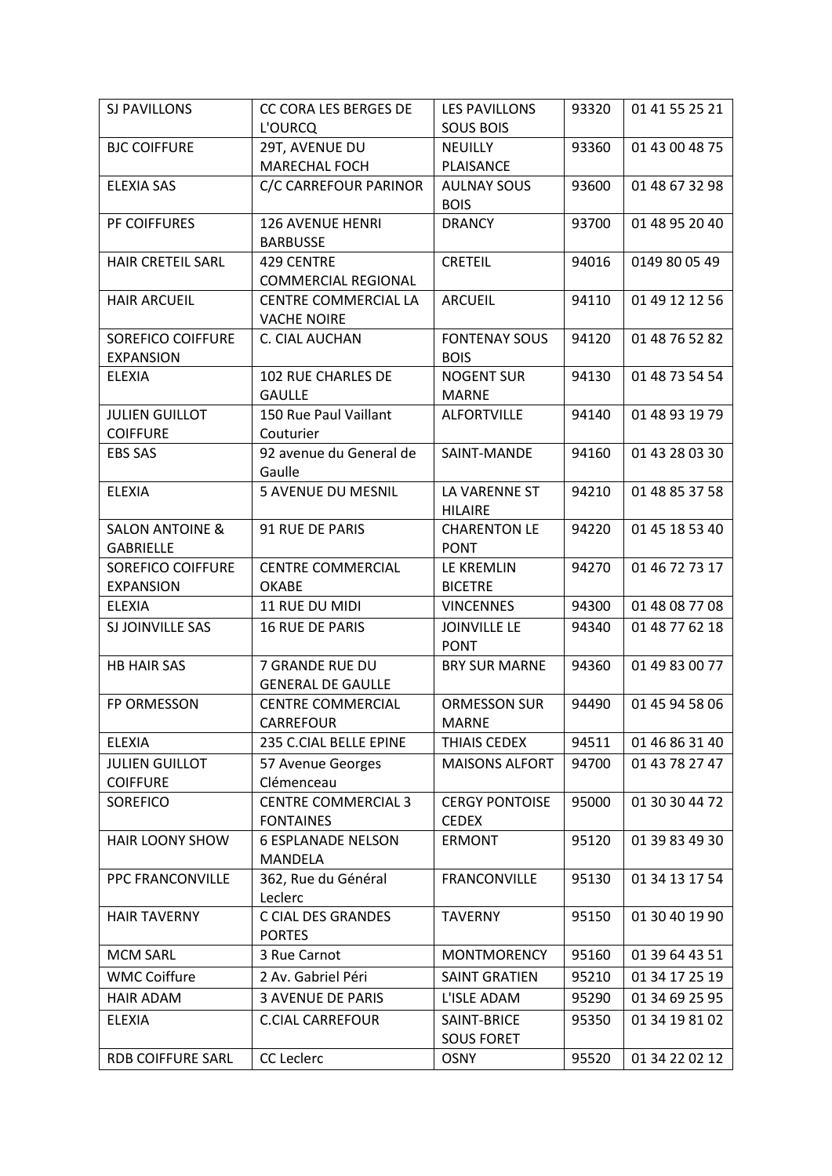| SJ PAVILLONS                                   | <b>CC CORA LES BERGES DE</b>                      | <b>LES PAVILLONS</b>               | 93320 | 01 41 55 25 21 |
|------------------------------------------------|---------------------------------------------------|------------------------------------|-------|----------------|
|                                                | L'OURCQ                                           | <b>SOUS BOIS</b>                   |       |                |
| <b>BJC COIFFURE</b>                            | 29T, AVENUE DU                                    | <b>NEUILLY</b>                     | 93360 | 01 43 00 48 75 |
|                                                | <b>MARECHAL FOCH</b>                              | PLAISANCE                          |       |                |
| <b>ELEXIA SAS</b>                              | C/C CARREFOUR PARINOR                             | <b>AULNAY SOUS</b><br><b>BOIS</b>  | 93600 | 01 48 67 32 98 |
|                                                | 126 AVENUE HENRI                                  |                                    |       |                |
| PF COIFFURES                                   | <b>BARBUSSE</b>                                   | <b>DRANCY</b>                      | 93700 | 01 48 95 20 40 |
| HAIR CRETEIL SARL                              | <b>429 CENTRE</b>                                 | <b>CRETEIL</b>                     | 94016 | 0149 80 05 49  |
|                                                | <b>COMMERCIAL REGIONAL</b>                        |                                    |       |                |
| <b>HAIR ARCUEIL</b>                            | <b>CENTRE COMMERCIAL LA</b><br><b>VACHE NOIRE</b> | ARCUEIL                            | 94110 | 01 49 12 12 56 |
| SOREFICO COIFFURE                              | C. CIAL AUCHAN                                    | <b>FONTENAY SOUS</b>               | 94120 | 01 48 76 52 82 |
| <b>EXPANSION</b>                               |                                                   | <b>BOIS</b>                        |       |                |
| ELEXIA                                         | 102 RUE CHARLES DE                                | <b>NOGENT SUR</b>                  | 94130 | 01 48 73 54 54 |
|                                                | <b>GAULLE</b>                                     | <b>MARNE</b>                       |       |                |
| <b>JULIEN GUILLOT</b>                          | 150 Rue Paul Vaillant                             | <b>ALFORTVILLE</b>                 | 94140 | 01 48 93 19 79 |
| <b>COIFFURE</b>                                | Couturier                                         |                                    |       |                |
| <b>EBS SAS</b>                                 | 92 avenue du General de                           | SAINT-MANDE                        | 94160 | 01 43 28 03 30 |
|                                                | Gaulle                                            |                                    |       |                |
| <b>ELEXIA</b>                                  | <b>5 AVENUE DU MESNIL</b>                         | LA VARENNE ST                      | 94210 | 01 48 85 37 58 |
|                                                |                                                   | <b>HILAIRE</b>                     |       |                |
| <b>SALON ANTOINE &amp;</b><br><b>GABRIELLE</b> | 91 RUE DE PARIS                                   | <b>CHARENTON LE</b><br><b>PONT</b> | 94220 | 01 45 18 53 40 |
| SOREFICO COIFFURE                              | <b>CENTRE COMMERCIAL</b>                          | LE KREMLIN                         | 94270 | 01 46 72 73 17 |
| <b>EXPANSION</b>                               | <b>OKABE</b>                                      | <b>BICETRE</b>                     |       |                |
| <b>ELEXIA</b>                                  | 11 RUE DU MIDI                                    | <b>VINCENNES</b>                   | 94300 | 01 48 08 77 08 |
| SJ JOINVILLE SAS                               | <b>16 RUE DE PARIS</b>                            | <b>JOINVILLE LE</b>                | 94340 | 01 48 77 62 18 |
|                                                |                                                   | <b>PONT</b>                        |       |                |
| <b>HB HAIR SAS</b>                             | 7 GRANDE RUE DU                                   | <b>BRY SUR MARNE</b>               | 94360 | 01 49 83 00 77 |
|                                                | <b>GENERAL DE GAULLE</b>                          |                                    |       |                |
| FP ORMESSON                                    | <b>CENTRE COMMERCIAL</b>                          | <b>ORMESSON SUR</b>                | 94490 | 01 45 94 58 06 |
|                                                | CARREFOUR                                         | MARNE                              |       |                |
| ELEXIA                                         | 235 C.CIAL BELLE EPINE                            | THIAIS CEDEX                       | 94511 | 01 46 86 31 40 |
| <b>JULIEN GUILLOT</b>                          | 57 Avenue Georges                                 | <b>MAISONS ALFORT</b>              | 94700 | 01 43 78 27 47 |
| <b>COIFFURE</b>                                | Clémenceau                                        |                                    |       |                |
| SOREFICO                                       | <b>CENTRE COMMERCIAL 3</b>                        | <b>CERGY PONTOISE</b>              | 95000 | 01 30 30 44 72 |
|                                                | <b>FONTAINES</b>                                  | <b>CEDEX</b>                       |       |                |
| <b>HAIR LOONY SHOW</b>                         | <b>6 ESPLANADE NELSON</b><br>MANDELA              | <b>ERMONT</b>                      | 95120 | 01 39 83 49 30 |
| PPC FRANCONVILLE                               | 362, Rue du Général                               | <b>FRANCONVILLE</b>                | 95130 | 01 34 13 17 54 |
|                                                | Leclerc                                           |                                    |       |                |
| <b>HAIR TAVERNY</b>                            | C CIAL DES GRANDES                                | <b>TAVERNY</b>                     | 95150 | 01 30 40 19 90 |
|                                                | <b>PORTES</b>                                     |                                    |       |                |
| <b>MCM SARL</b>                                | 3 Rue Carnot                                      | <b>MONTMORENCY</b>                 | 95160 | 01 39 64 43 51 |
| <b>WMC Coiffure</b>                            | 2 Av. Gabriel Péri                                | <b>SAINT GRATIEN</b>               | 95210 | 01 34 17 25 19 |
| <b>HAIR ADAM</b>                               | <b>3 AVENUE DE PARIS</b>                          | L'ISLE ADAM                        | 95290 | 01 34 69 25 95 |
| ELEXIA                                         | <b>C.CIAL CARREFOUR</b>                           | SAINT-BRICE                        | 95350 | 01 34 19 81 02 |
|                                                |                                                   | <b>SOUS FORET</b>                  |       |                |
| RDB COIFFURE SARL                              | CC Leclerc                                        | <b>OSNY</b>                        | 95520 | 01 34 22 02 12 |